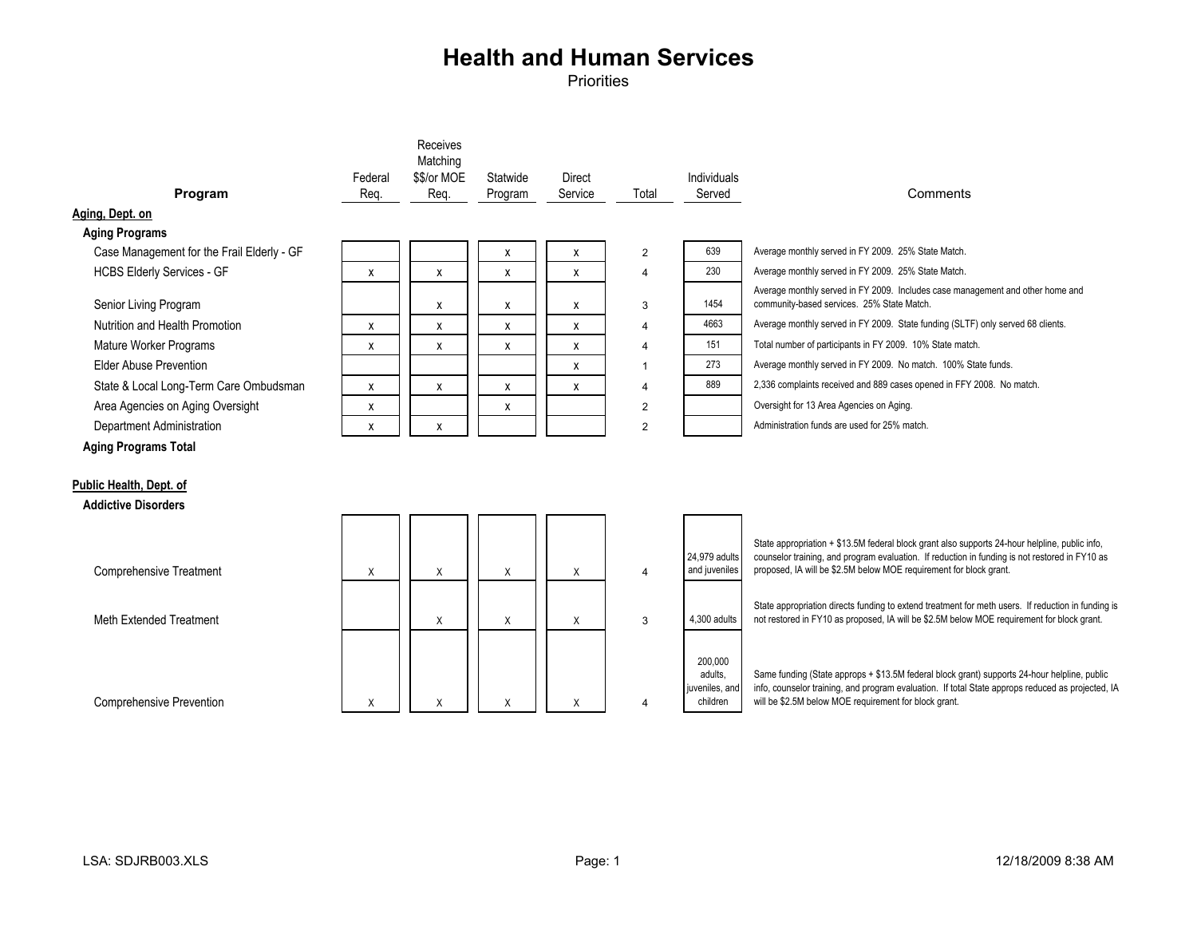| Program                                    | Federal<br>Req. | Receives<br>Matching<br>\$\$/or MOE<br>Req. | Statwide<br>Program | <b>Direct</b><br>Service | Total          | Individuals<br>Served                            | Comments                                                                                                                                                                                                                                                               |
|--------------------------------------------|-----------------|---------------------------------------------|---------------------|--------------------------|----------------|--------------------------------------------------|------------------------------------------------------------------------------------------------------------------------------------------------------------------------------------------------------------------------------------------------------------------------|
| Aging, Dept. on                            |                 |                                             |                     |                          |                |                                                  |                                                                                                                                                                                                                                                                        |
| <b>Aging Programs</b>                      |                 |                                             |                     |                          |                |                                                  |                                                                                                                                                                                                                                                                        |
| Case Management for the Frail Elderly - GF |                 |                                             | X                   | x                        | $\overline{2}$ | 639                                              | Average monthly served in FY 2009. 25% State Match.                                                                                                                                                                                                                    |
| <b>HCBS Elderly Services - GF</b>          | x               | x                                           | X                   | x                        | 4              | 230                                              | Average monthly served in FY 2009. 25% State Match.                                                                                                                                                                                                                    |
| Senior Living Program                      |                 | x                                           | X                   | x                        | 3              | 1454                                             | Average monthly served in FY 2009. Includes case management and other home and<br>community-based services. 25% State Match.                                                                                                                                           |
| Nutrition and Health Promotion             | X               | X                                           | X                   | x                        | $\overline{4}$ | 4663                                             | Average monthly served in FY 2009. State funding (SLTF) only served 68 clients.                                                                                                                                                                                        |
| Mature Worker Programs                     | $\pmb{\chi}$    | x                                           | X                   | x                        | $\overline{4}$ | 151                                              | Total number of participants in FY 2009. 10% State match.                                                                                                                                                                                                              |
| Flder Abuse Prevention                     |                 |                                             |                     | x                        |                | 273                                              | Average monthly served in FY 2009. No match. 100% State funds.                                                                                                                                                                                                         |
| State & Local Long-Term Care Ombudsman     | $\mathsf{x}$    | X                                           | X                   | X                        | $\overline{4}$ | 889                                              | 2,336 complaints received and 889 cases opened in FFY 2008. No match.                                                                                                                                                                                                  |
| Area Agencies on Aging Oversight           | X               |                                             | х                   |                          | $\overline{2}$ |                                                  | Oversight for 13 Area Agencies on Aging.                                                                                                                                                                                                                               |
| Department Administration                  | $\pmb{\chi}$    | X                                           |                     |                          | $\overline{2}$ |                                                  | Administration funds are used for 25% match.                                                                                                                                                                                                                           |
| <b>Aging Programs Total</b>                |                 |                                             |                     |                          |                |                                                  |                                                                                                                                                                                                                                                                        |
| Public Health, Dept. of                    |                 |                                             |                     |                          |                |                                                  |                                                                                                                                                                                                                                                                        |
| <b>Addictive Disorders</b>                 |                 |                                             |                     |                          |                |                                                  |                                                                                                                                                                                                                                                                        |
| <b>Comprehensive Treatment</b>             | X               | Χ                                           | X                   | X                        | $\overline{4}$ | 24.979 adults<br>and juveniles                   | State appropriation + \$13.5M federal block grant also supports 24-hour helpline, public info,<br>counselor training, and program evaluation. If reduction in funding is not restored in FY10 as<br>proposed, IA will be \$2.5M below MOE requirement for block grant. |
|                                            |                 |                                             |                     |                          |                |                                                  |                                                                                                                                                                                                                                                                        |
| Meth Extended Treatment                    |                 | Χ                                           | Χ                   | X                        | 3              | 4.300 adults                                     | State appropriation directs funding to extend treatment for meth users. If reduction in funding is<br>not restored in FY10 as proposed, IA will be \$2.5M below MOE requirement for block grant.                                                                       |
| <b>Comprehensive Prevention</b>            | X               | Χ                                           | Χ                   | Χ                        |                | 200,000<br>adults.<br>juveniles, and<br>children | Same funding (State approps + \$13.5M federal block grant) supports 24-hour helpline, public<br>info, counselor training, and program evaluation. If total State approps reduced as projected, IA<br>will be \$2.5M below MOE requirement for block grant.             |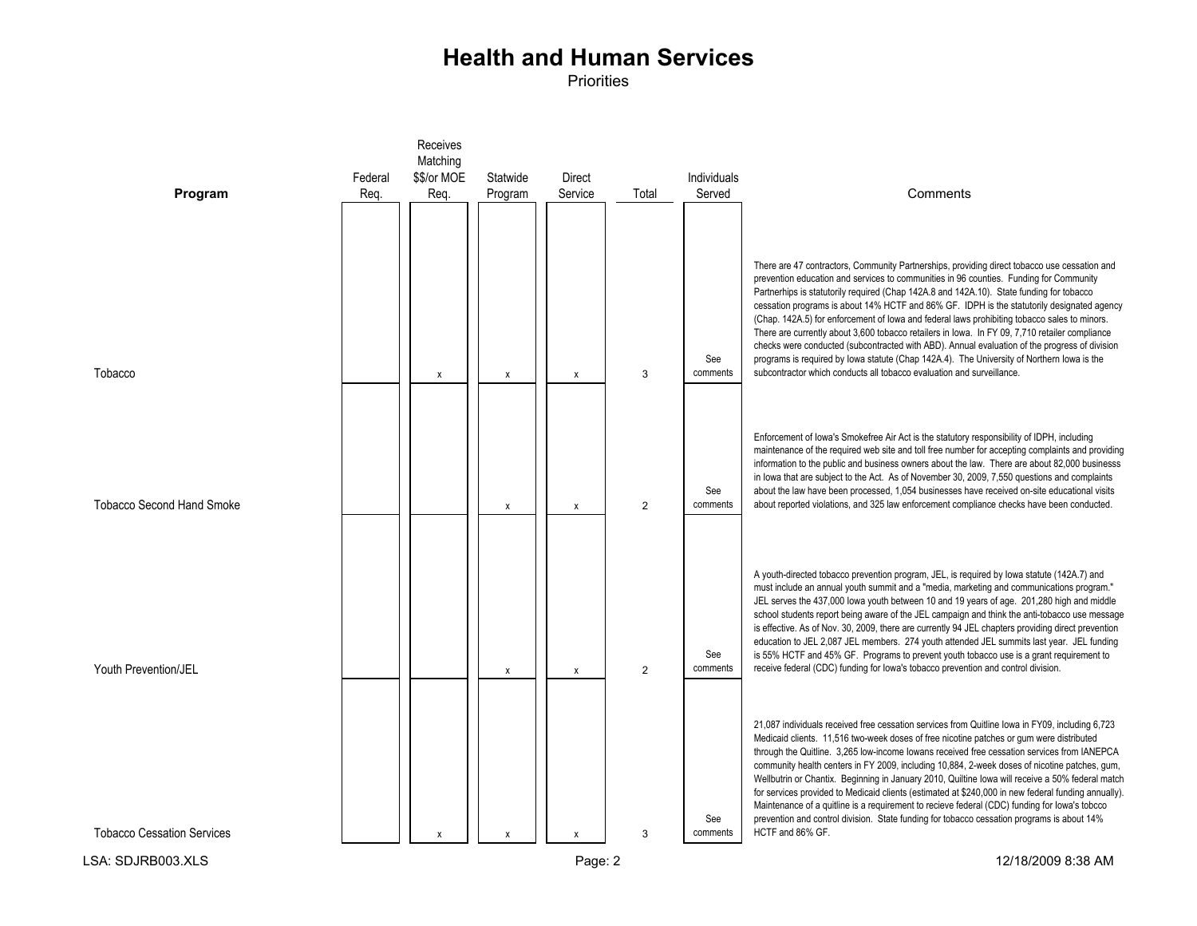|                                   |         | Receives<br>Matching |                           |              |                |                        |                                                                                                                                                                                                                                                                                                                                                                                                                                                                                                                                                                                                                                                                                                                                                                                                                                                                                                                                                                                       |
|-----------------------------------|---------|----------------------|---------------------------|--------------|----------------|------------------------|---------------------------------------------------------------------------------------------------------------------------------------------------------------------------------------------------------------------------------------------------------------------------------------------------------------------------------------------------------------------------------------------------------------------------------------------------------------------------------------------------------------------------------------------------------------------------------------------------------------------------------------------------------------------------------------------------------------------------------------------------------------------------------------------------------------------------------------------------------------------------------------------------------------------------------------------------------------------------------------|
|                                   | Federal | \$\$/or MOE          | Statwide                  | Direct       |                | Individuals            |                                                                                                                                                                                                                                                                                                                                                                                                                                                                                                                                                                                                                                                                                                                                                                                                                                                                                                                                                                                       |
| Program                           | Reg.    | Reg.                 | Program                   | Service      | Total          | Served                 | Comments                                                                                                                                                                                                                                                                                                                                                                                                                                                                                                                                                                                                                                                                                                                                                                                                                                                                                                                                                                              |
| Tobacco                           |         | X                    | $\boldsymbol{\mathsf{x}}$ | $\mathsf{x}$ | 3              | See<br>comments        | There are 47 contractors, Community Partnerships, providing direct tobacco use cessation and<br>prevention education and services to communities in 96 counties. Funding for Community<br>Partnerhips is statutorily required (Chap 142A.8 and 142A.10). State funding for tobacco<br>cessation programs is about 14% HCTF and 86% GF. IDPH is the statutorily designated agency<br>(Chap. 142A.5) for enforcement of lowa and federal laws prohibiting tobacco sales to minors.<br>There are currently about 3,600 tobacco retailers in lowa. In FY 09, 7,710 retailer compliance<br>checks were conducted (subcontracted with ABD). Annual evaluation of the progress of division<br>programs is required by Iowa statute (Chap 142A.4). The University of Northern Iowa is the<br>subcontractor which conducts all tobacco evaluation and surveillance.                                                                                                                            |
|                                   |         |                      |                           |              |                | See                    | Enforcement of Iowa's Smokefree Air Act is the statutory responsibility of IDPH, including<br>maintenance of the required web site and toll free number for accepting complaints and providing<br>information to the public and business owners about the law. There are about 82,000 businesss<br>in lowa that are subject to the Act. As of November 30, 2009, 7,550 questions and complaints<br>about the law have been processed, 1,054 businesses have received on-site educational visits                                                                                                                                                                                                                                                                                                                                                                                                                                                                                       |
| <b>Tobacco Second Hand Smoke</b>  |         |                      | X                         | $\mathsf{x}$ | $\overline{2}$ | comments               | about reported violations, and 325 law enforcement compliance checks have been conducted.<br>A youth-directed tobacco prevention program, JEL, is required by lowa statute (142A.7) and<br>must include an annual youth summit and a "media, marketing and communications program."<br>JEL serves the 437,000 lowa youth between 10 and 19 years of age. 201,280 high and middle<br>school students report being aware of the JEL campaign and think the anti-tobacco use message<br>is effective. As of Nov. 30, 2009, there are currently 94 JEL chapters providing direct prevention<br>education to JEL 2,087 JEL members. 274 youth attended JEL summits last year. JEL funding                                                                                                                                                                                                                                                                                                  |
| Youth Prevention/JEL              |         |                      | $\pmb{\chi}$              | X            | $\overline{2}$ | See<br>comments<br>See | is 55% HCTF and 45% GF. Programs to prevent youth tobacco use is a grant requirement to<br>receive federal (CDC) funding for lowa's tobacco prevention and control division.<br>21,087 individuals received free cessation services from Quitline Iowa in FY09, including 6,723<br>Medicaid clients. 11,516 two-week doses of free nicotine patches or gum were distributed<br>through the Quitline. 3,265 low-income lowans received free cessation services from IANEPCA<br>community health centers in FY 2009, including 10,884, 2-week doses of nicotine patches, gum,<br>Wellbutrin or Chantix. Beginning in January 2010, Quiltine lowa will receive a 50% federal match<br>for services provided to Medicaid clients (estimated at \$240,000 in new federal funding annually).<br>Maintenance of a quitline is a requirement to recieve federal (CDC) funding for lowa's tobcco<br>prevention and control division. State funding for tobacco cessation programs is about 14% |
| <b>Tobacco Cessation Services</b> |         | X                    | X                         | X            | 3              | comments               | HCTF and 86% GF.                                                                                                                                                                                                                                                                                                                                                                                                                                                                                                                                                                                                                                                                                                                                                                                                                                                                                                                                                                      |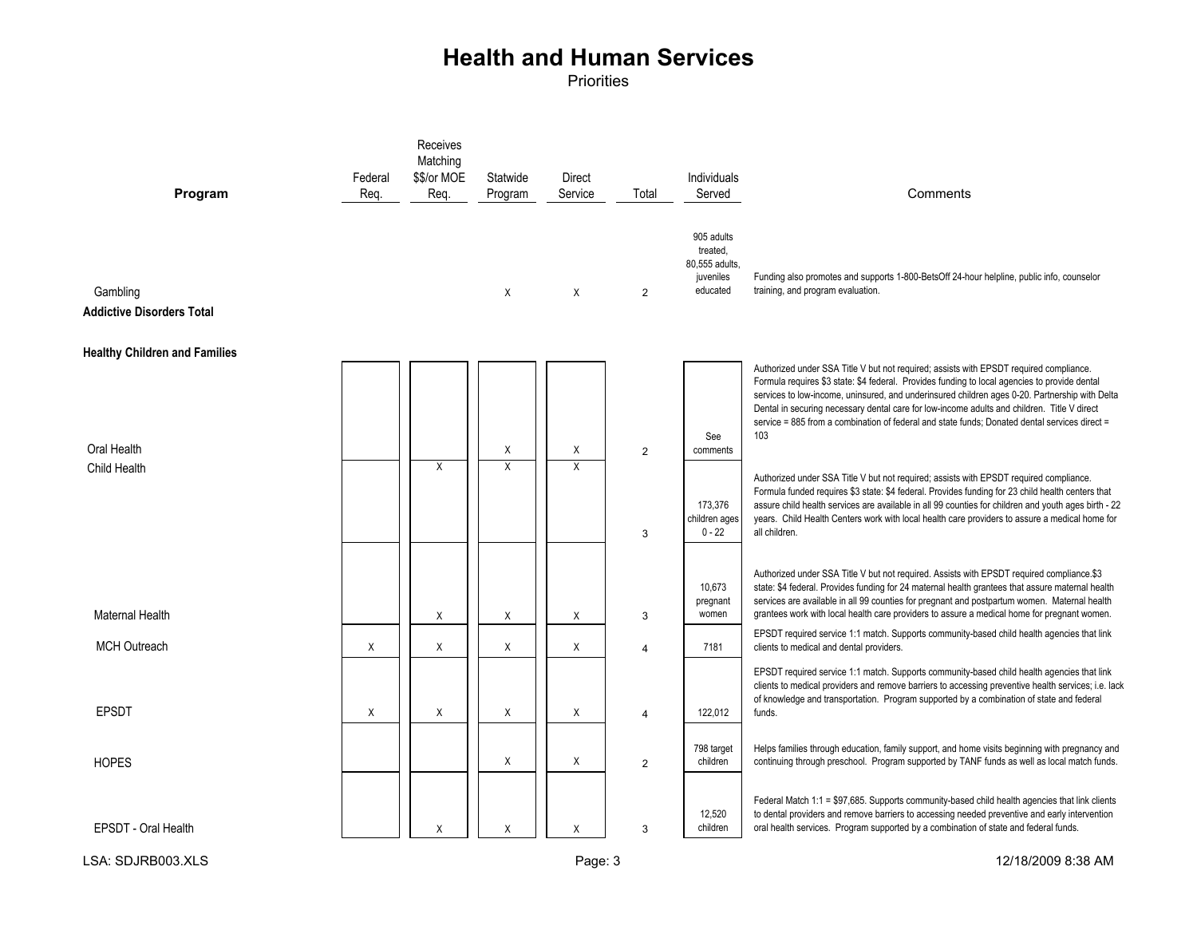| Program                                      | Federal<br>Req. | Receives<br>Matching<br>\$\$/or MOE<br>Req. | Statwide<br>Program | Direct<br>Service | Total               | Individuals<br>Served                                             | Comments                                                                                                                                                                                                                                                                                                                                                                                                                                                                                                                                                                                                                                                                                                                                                                                                                                                                                                                   |
|----------------------------------------------|-----------------|---------------------------------------------|---------------------|-------------------|---------------------|-------------------------------------------------------------------|----------------------------------------------------------------------------------------------------------------------------------------------------------------------------------------------------------------------------------------------------------------------------------------------------------------------------------------------------------------------------------------------------------------------------------------------------------------------------------------------------------------------------------------------------------------------------------------------------------------------------------------------------------------------------------------------------------------------------------------------------------------------------------------------------------------------------------------------------------------------------------------------------------------------------|
| Gambling<br><b>Addictive Disorders Total</b> |                 |                                             | X                   | X                 | 2                   | 905 adults<br>treated,<br>80,555 adults,<br>juveniles<br>educated | Funding also promotes and supports 1-800-BetsOff 24-hour helpline, public info, counselor<br>training, and program evaluation.                                                                                                                                                                                                                                                                                                                                                                                                                                                                                                                                                                                                                                                                                                                                                                                             |
| <b>Healthy Children and Families</b>         |                 |                                             |                     |                   |                     |                                                                   |                                                                                                                                                                                                                                                                                                                                                                                                                                                                                                                                                                                                                                                                                                                                                                                                                                                                                                                            |
| Oral Health<br>Child Health                  |                 | X                                           | X<br>X              | Χ<br>X            | $\overline{2}$<br>3 | See<br>comments<br>173,376<br>children ages<br>$0 - 22$           | Authorized under SSA Title V but not required; assists with EPSDT required compliance.<br>Formula requires \$3 state: \$4 federal. Provides funding to local agencies to provide dental<br>services to low-income, uninsured, and underinsured children ages 0-20. Partnership with Delta<br>Dental in securing necessary dental care for low-income adults and children. Title V direct<br>service = 885 from a combination of federal and state funds; Donated dental services direct =<br>103<br>Authorized under SSA Title V but not required; assists with EPSDT required compliance.<br>Formula funded requires \$3 state: \$4 federal. Provides funding for 23 child health centers that<br>assure child health services are available in all 99 counties for children and youth ages birth - 22<br>years. Child Health Centers work with local health care providers to assure a medical home for<br>all children. |
| Maternal Health                              |                 | X                                           | X                   | X                 | 3                   | 10,673<br>pregnant<br>women                                       | Authorized under SSA Title V but not required. Assists with EPSDT required compliance.\$3<br>state: \$4 federal. Provides funding for 24 maternal health grantees that assure maternal health<br>services are available in all 99 counties for pregnant and postpartum women. Maternal health<br>grantees work with local health care providers to assure a medical home for pregnant women.                                                                                                                                                                                                                                                                                                                                                                                                                                                                                                                               |
| <b>MCH Outreach</b>                          | X               | X                                           | X                   | $\times$          | $\overline{4}$      | 7181                                                              | EPSDT required service 1:1 match. Supports community-based child health agencies that link<br>clients to medical and dental providers.                                                                                                                                                                                                                                                                                                                                                                                                                                                                                                                                                                                                                                                                                                                                                                                     |
| <b>EPSDT</b>                                 | X               | Χ                                           | X                   | Χ                 | 4                   | 122,012                                                           | EPSDT required service 1:1 match. Supports community-based child health agencies that link<br>clients to medical providers and remove barriers to accessing preventive health services; i.e. lack<br>of knowledge and transportation. Program supported by a combination of state and federal<br>funds.                                                                                                                                                                                                                                                                                                                                                                                                                                                                                                                                                                                                                    |
| <b>HOPES</b>                                 |                 |                                             | Χ                   | X                 | $\overline{2}$      | 798 target<br>children                                            | Helps families through education, family support, and home visits beginning with pregnancy and<br>continuing through preschool. Program supported by TANF funds as well as local match funds.                                                                                                                                                                                                                                                                                                                                                                                                                                                                                                                                                                                                                                                                                                                              |
| EPSDT - Oral Health                          |                 | Χ                                           | X                   | X                 | 3                   | 12.520<br>children                                                | Federal Match 1:1 = \$97,685. Supports community-based child health agencies that link clients<br>to dental providers and remove barriers to accessing needed preventive and early intervention<br>oral health services. Program supported by a combination of state and federal funds.                                                                                                                                                                                                                                                                                                                                                                                                                                                                                                                                                                                                                                    |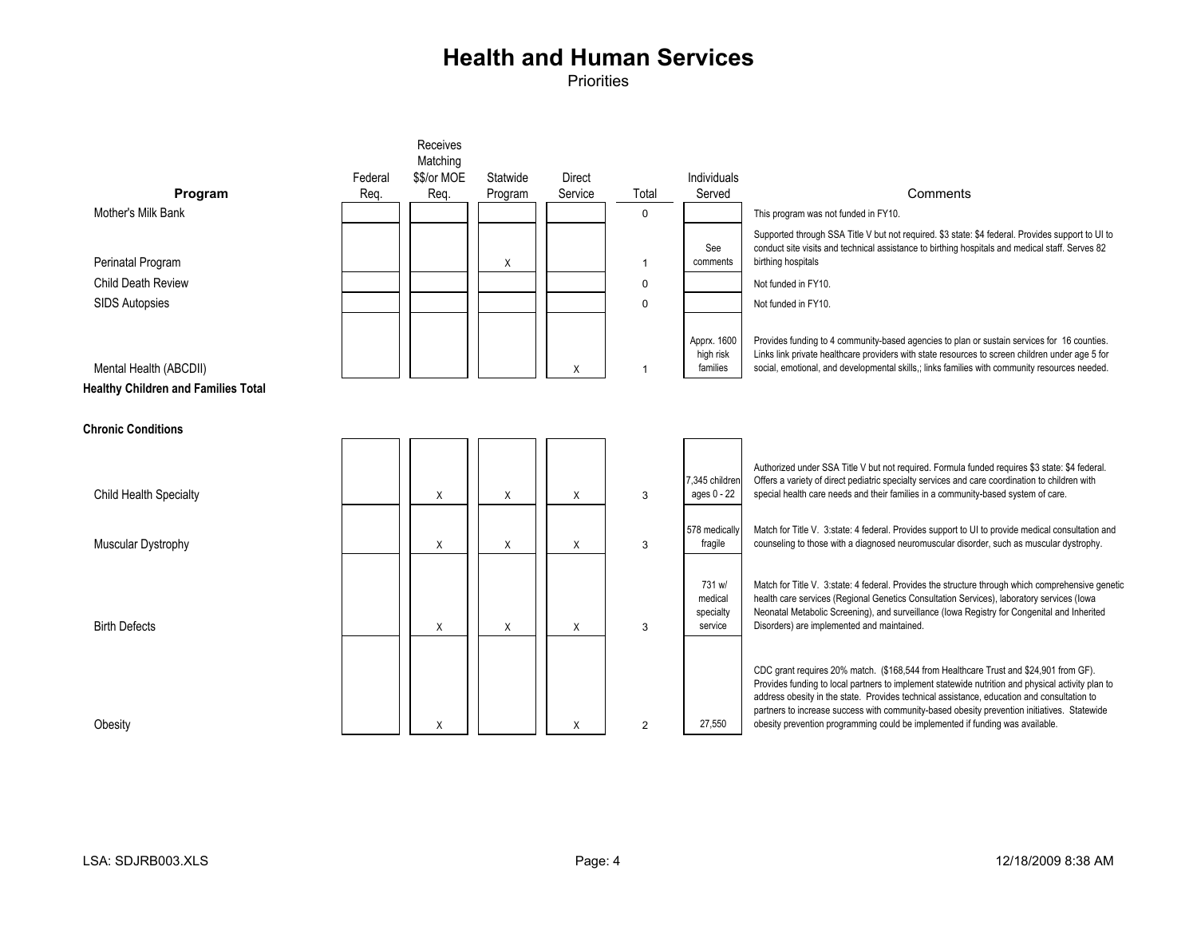|                                            |         | Receives    |          |               |                |                          |                                                                                                                                                                                                  |
|--------------------------------------------|---------|-------------|----------|---------------|----------------|--------------------------|--------------------------------------------------------------------------------------------------------------------------------------------------------------------------------------------------|
|                                            |         | Matching    |          |               |                |                          |                                                                                                                                                                                                  |
|                                            | Federal | \$\$/or MOE | Statwide | <b>Direct</b> |                | Individuals              |                                                                                                                                                                                                  |
| Program                                    | Reg.    | Req.        | Program  | Service       | Total          | Served                   | Comments                                                                                                                                                                                         |
| Mother's Milk Bank                         |         |             |          |               | $\mathbf 0$    |                          | This program was not funded in FY10.                                                                                                                                                             |
|                                            |         |             |          |               |                |                          | Supported through SSA Title V but not required. \$3 state: \$4 federal. Provides support to UI to                                                                                                |
| Perinatal Program                          |         |             | X        |               | $\overline{1}$ | See<br>comments          | conduct site visits and technical assistance to birthing hospitals and medical staff. Serves 82<br>birthing hospitals                                                                            |
| <b>Child Death Review</b>                  |         |             |          |               | $\pmb{0}$      |                          | Not funded in FY10.                                                                                                                                                                              |
| <b>SIDS Autopsies</b>                      |         |             |          |               | $\Omega$       |                          | Not funded in FY10.                                                                                                                                                                              |
|                                            |         |             |          |               |                | Apprx. 1600              | Provides funding to 4 community-based agencies to plan or sustain services for 16 counties.                                                                                                      |
| Mental Health (ABCDII)                     |         |             |          | X             |                | high risk<br>families    | Links link private healthcare providers with state resources to screen children under age 5 for<br>social, emotional, and developmental skills,; links families with community resources needed. |
| <b>Healthy Children and Families Total</b> |         |             |          |               |                |                          |                                                                                                                                                                                                  |
|                                            |         |             |          |               |                |                          |                                                                                                                                                                                                  |
| <b>Chronic Conditions</b>                  |         |             |          |               |                |                          |                                                                                                                                                                                                  |
|                                            |         |             |          |               |                |                          |                                                                                                                                                                                                  |
|                                            |         |             |          |               |                | 7.345 childrer           | Authorized under SSA Title V but not required. Formula funded requires \$3 state: \$4 federal.<br>Offers a variety of direct pediatric specialty services and care coordination to children with |
| <b>Child Health Specialty</b>              |         | X           | Χ        | X             | 3              | ages 0 - 22              | special health care needs and their families in a community-based system of care.                                                                                                                |
|                                            |         |             |          |               |                |                          |                                                                                                                                                                                                  |
| Muscular Dystrophy                         |         | X           | X        | X             | 3              | 578 medically<br>fragile | Match for Title V. 3:state: 4 federal. Provides support to UI to provide medical consultation and<br>counseling to those with a diagnosed neuromuscular disorder, such as muscular dystrophy.    |
|                                            |         |             |          |               |                |                          |                                                                                                                                                                                                  |
|                                            |         |             |          |               |                | 731 w/                   | Match for Title V. 3:state: 4 federal. Provides the structure through which comprehensive genetic                                                                                                |
|                                            |         |             |          |               |                | medical<br>specialty     | health care services (Regional Genetics Consultation Services), laboratory services (lowa<br>Neonatal Metabolic Screening), and surveillance (lowa Registry for Congenital and Inherited         |
| <b>Birth Defects</b>                       |         | X           | X        | X             | 3              | service                  | Disorders) are implemented and maintained.                                                                                                                                                       |
|                                            |         |             |          |               |                |                          |                                                                                                                                                                                                  |
|                                            |         |             |          |               |                |                          | CDC grant requires 20% match. (\$168,544 from Healthcare Trust and \$24,901 from GF).                                                                                                            |
|                                            |         |             |          |               |                |                          | Provides funding to local partners to implement statewide nutrition and physical activity plan to<br>address obesity in the state. Provides technical assistance, education and consultation to  |
|                                            |         |             |          |               |                |                          | partners to increase success with community-based obesity prevention initiatives. Statewide                                                                                                      |
| Obesity                                    |         | X           |          | X             | $\overline{2}$ | 27,550                   | obesity prevention programming could be implemented if funding was available.                                                                                                                    |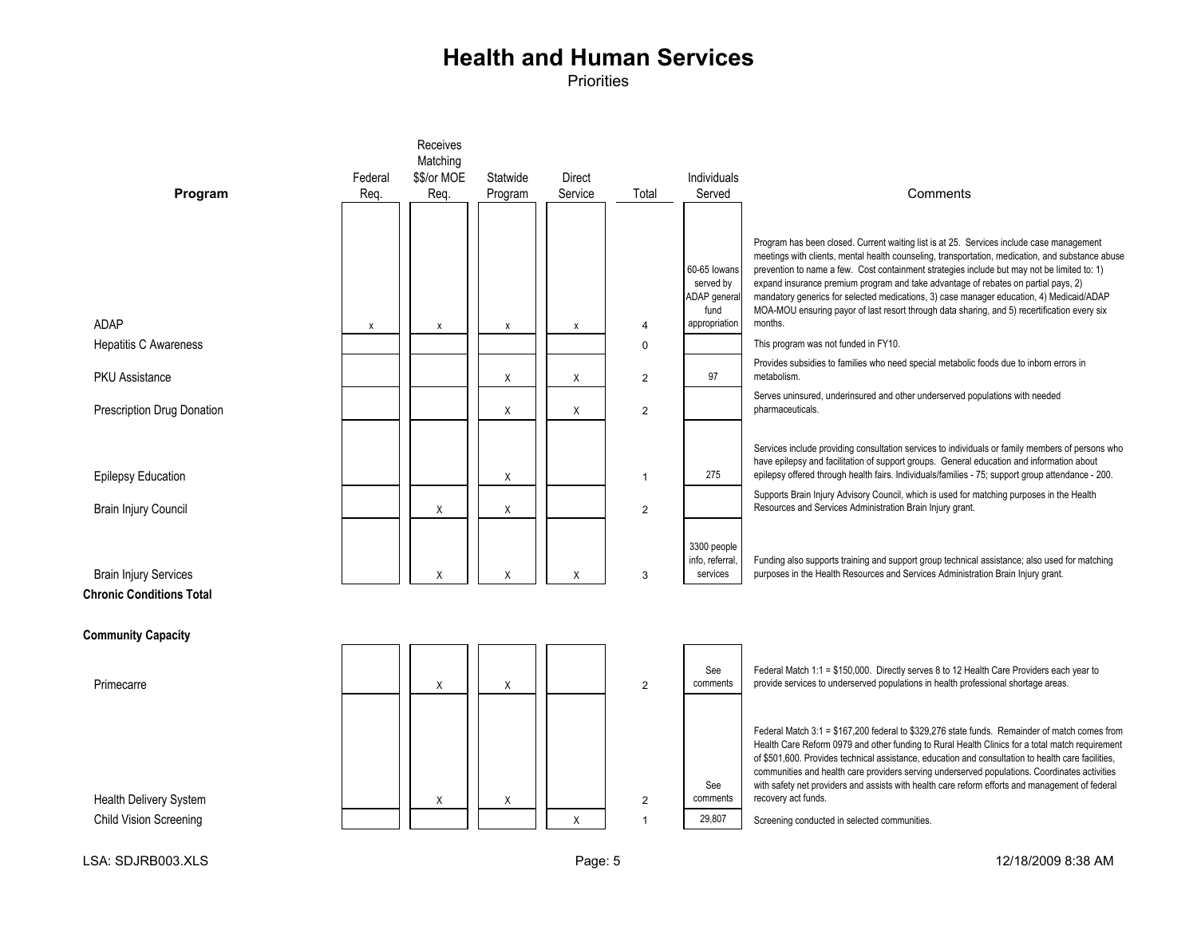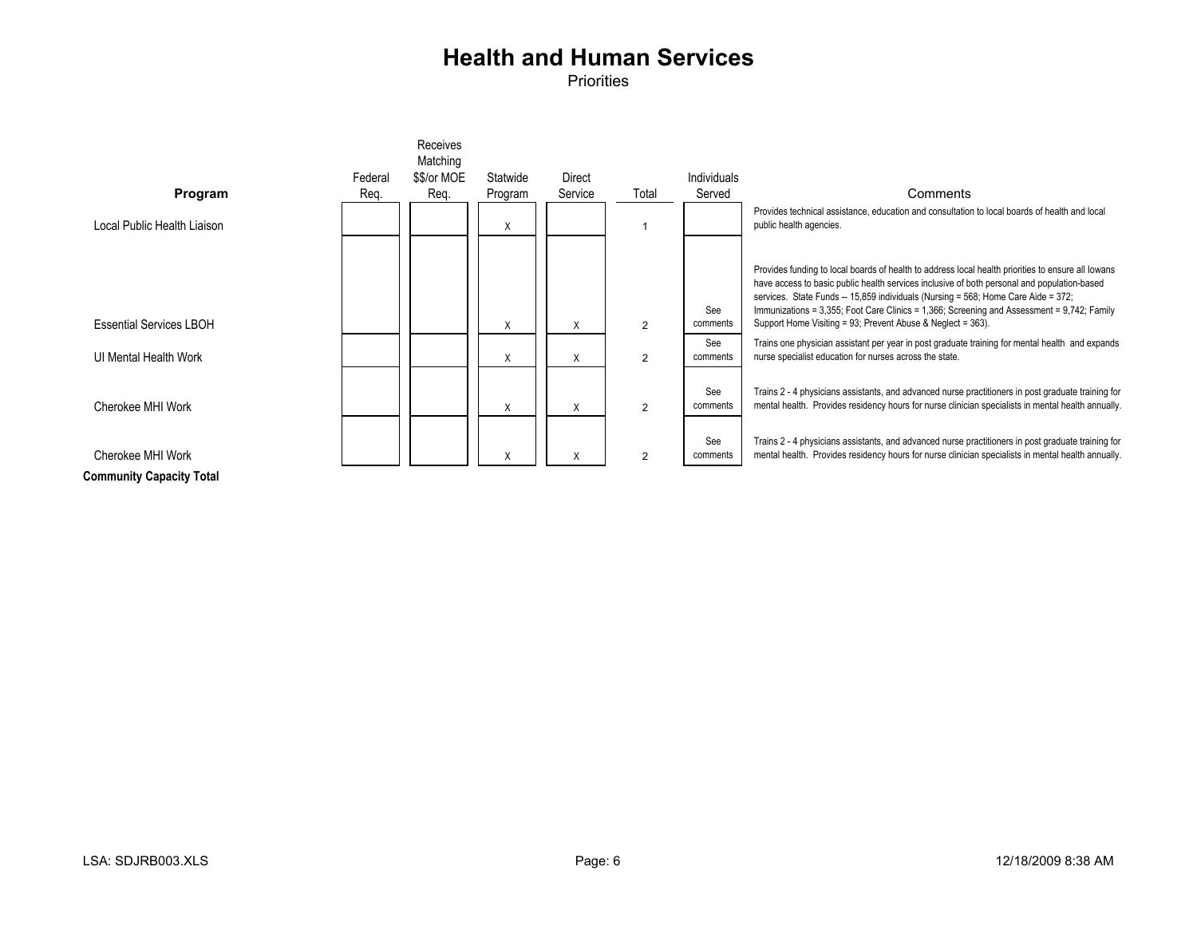**Priorities** 



**Community Capacity Total**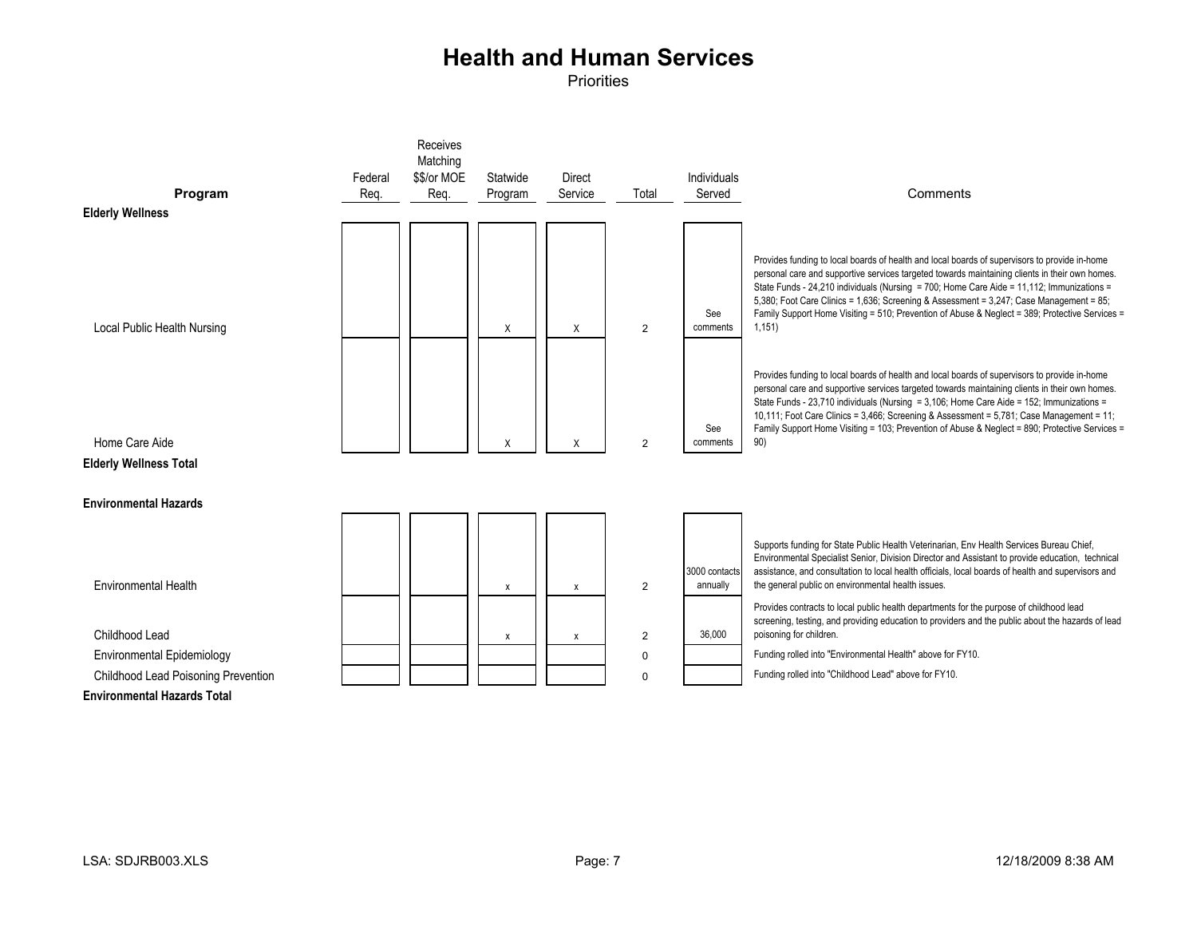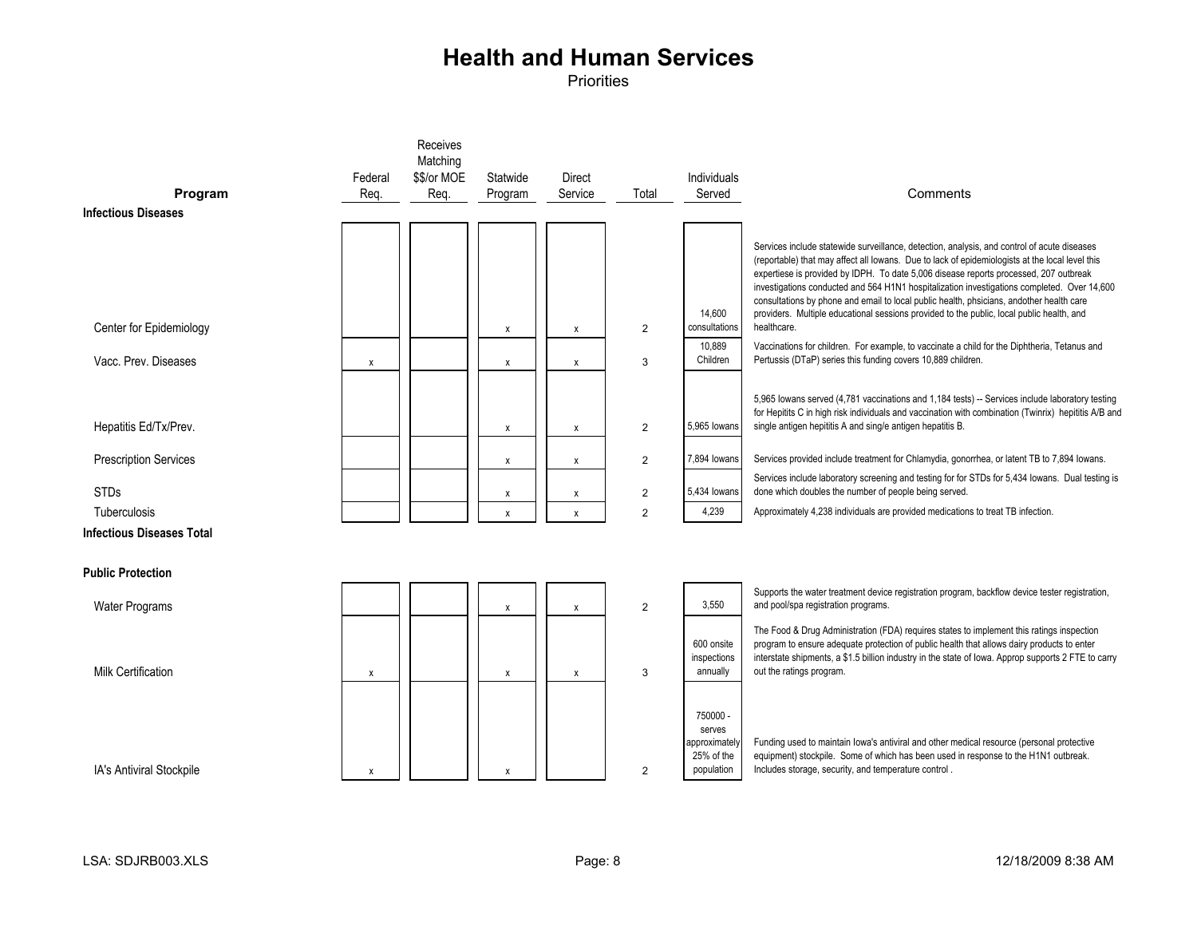| Program<br><b>Infectious Diseases</b> | Federal<br>Req. | Receives<br>Matching<br>\$\$/or MOE<br>Req. | Statwide<br>Program | <b>Direct</b><br>Service | Total          | Individuals<br>Served                                          | Comments                                                                                                                                                                                                                                                                                                                                                                                                                                                                                                                                                                                       |
|---------------------------------------|-----------------|---------------------------------------------|---------------------|--------------------------|----------------|----------------------------------------------------------------|------------------------------------------------------------------------------------------------------------------------------------------------------------------------------------------------------------------------------------------------------------------------------------------------------------------------------------------------------------------------------------------------------------------------------------------------------------------------------------------------------------------------------------------------------------------------------------------------|
|                                       |                 |                                             |                     |                          |                |                                                                |                                                                                                                                                                                                                                                                                                                                                                                                                                                                                                                                                                                                |
| Center for Epidemiology               |                 |                                             | x                   | x                        | 2              | 14.600<br>consultations                                        | Services include statewide surveillance, detection, analysis, and control of acute diseases<br>(reportable) that may affect all lowans. Due to lack of epidemiologists at the local level this<br>expertiese is provided by IDPH. To date 5,006 disease reports processed, 207 outbreak<br>investigations conducted and 564 H1N1 hospitalization investigations completed. Over 14,600<br>consultations by phone and email to local public health, phsicians, andother health care<br>providers. Multiple educational sessions provided to the public, local public health, and<br>healthcare. |
| Vacc. Prev. Diseases                  | X               |                                             | X                   | X                        | 3              | 10.889<br>Children                                             | Vaccinations for children. For example, to vaccinate a child for the Diphtheria, Tetanus and<br>Pertussis (DTaP) series this funding covers 10,889 children.                                                                                                                                                                                                                                                                                                                                                                                                                                   |
| Hepatitis Ed/Tx/Prev.                 |                 |                                             | X                   | x                        | 2              | 5,965 lowans                                                   | 5,965 lowans served (4,781 vaccinations and 1,184 tests) -- Services include laboratory testing<br>for Hepitits C in high risk individuals and vaccination with combination (Twinrix) hepititis A/B and<br>single antigen hepititis A and sing/e antigen hepatitis B.                                                                                                                                                                                                                                                                                                                          |
| <b>Prescription Services</b>          |                 |                                             | x                   | X                        | $\overline{2}$ | 7,894 lowans                                                   | Services provided include treatment for Chlamydia, gonorrhea, or latent TB to 7,894 lowans.                                                                                                                                                                                                                                                                                                                                                                                                                                                                                                    |
| <b>STDs</b>                           |                 |                                             | х                   | X                        | $\overline{2}$ | 5,434 lowans                                                   | Services include laboratory screening and testing for for STDs for 5,434 lowans. Dual testing is<br>done which doubles the number of people being served.                                                                                                                                                                                                                                                                                                                                                                                                                                      |
| Tuberculosis                          |                 |                                             | $\pmb{\mathsf{x}}$  | X                        | $\overline{2}$ | 4,239                                                          | Approximately 4,238 individuals are provided medications to treat TB infection.                                                                                                                                                                                                                                                                                                                                                                                                                                                                                                                |
| <b>Infectious Diseases Total</b>      |                 |                                             |                     |                          |                |                                                                |                                                                                                                                                                                                                                                                                                                                                                                                                                                                                                                                                                                                |
| <b>Public Protection</b>              |                 |                                             |                     |                          |                |                                                                |                                                                                                                                                                                                                                                                                                                                                                                                                                                                                                                                                                                                |
| <b>Water Programs</b>                 |                 |                                             | x                   | X                        | $\overline{2}$ | 3,550                                                          | Supports the water treatment device registration program, backflow device tester registration,<br>and pool/spa registration programs.                                                                                                                                                                                                                                                                                                                                                                                                                                                          |
| <b>Milk Certification</b>             | X               |                                             | X                   | X                        | 3              | 600 onsite<br>inspections<br>annually                          | The Food & Drug Administration (FDA) requires states to implement this ratings inspection<br>program to ensure adequate protection of public health that allows dairy products to enter<br>interstate shipments, a \$1.5 billion industry in the state of lowa. Approp supports 2 FTE to carry<br>out the ratings program.                                                                                                                                                                                                                                                                     |
| IA's Antiviral Stockpile              | X               |                                             | X                   |                          | $\overline{2}$ | 750000 -<br>serves<br>approximatel<br>25% of the<br>population | Funding used to maintain lowa's antiviral and other medical resource (personal protective<br>equipment) stockpile. Some of which has been used in response to the H1N1 outbreak.<br>Includes storage, security, and temperature control.                                                                                                                                                                                                                                                                                                                                                       |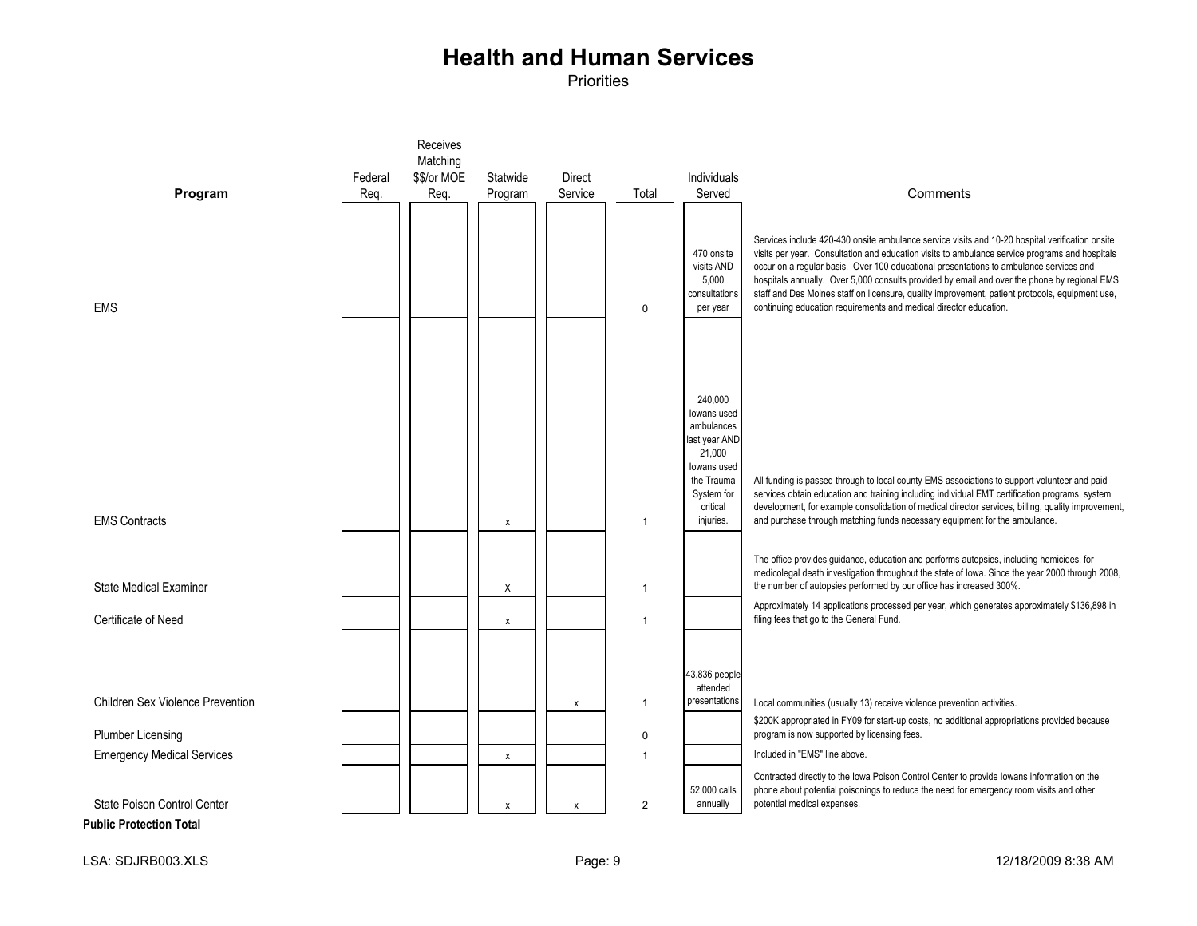Priorities

|                                   |         | Receives<br>Matching |                           |               |                |                                                                                                                                     |                                                                                                                                                                                                                                                                                                                                                                                                                                                                                                                                                                     |
|-----------------------------------|---------|----------------------|---------------------------|---------------|----------------|-------------------------------------------------------------------------------------------------------------------------------------|---------------------------------------------------------------------------------------------------------------------------------------------------------------------------------------------------------------------------------------------------------------------------------------------------------------------------------------------------------------------------------------------------------------------------------------------------------------------------------------------------------------------------------------------------------------------|
|                                   | Federal | \$\$/or MOE          | Statwide                  | <b>Direct</b> |                | Individuals                                                                                                                         |                                                                                                                                                                                                                                                                                                                                                                                                                                                                                                                                                                     |
| Program                           | Req.    | Req.                 | Program                   | Service       | Total          | Served                                                                                                                              | Comments                                                                                                                                                                                                                                                                                                                                                                                                                                                                                                                                                            |
| <b>EMS</b>                        |         |                      |                           |               | $\Omega$       | 470 onsite<br>visits AND<br>5,000<br>consultations<br>per year                                                                      | Services include 420-430 onsite ambulance service visits and 10-20 hospital verification onsite<br>visits per year. Consultation and education visits to ambulance service programs and hospitals<br>occur on a regular basis. Over 100 educational presentations to ambulance services and<br>hospitals annually. Over 5,000 consults provided by email and over the phone by regional EMS<br>staff and Des Moines staff on licensure, quality improvement, patient protocols, equipment use,<br>continuing education requirements and medical director education. |
| <b>EMS Contracts</b>              |         |                      | $\pmb{\times}$            |               | 1              | 240,000<br>lowans used<br>ambulances<br>last year AND<br>21,000<br>lowans used<br>the Trauma<br>System for<br>critical<br>injuries. | All funding is passed through to local county EMS associations to support volunteer and paid<br>services obtain education and training including individual EMT certification programs, system<br>development, for example consolidation of medical director services, billing, quality improvement,<br>and purchase through matching funds necessary equipment for the ambulance.                                                                                                                                                                                  |
| <b>State Medical Examiner</b>     |         |                      | Χ                         |               | $\mathbf{1}$   |                                                                                                                                     | The office provides guidance, education and performs autopsies, including homicides, for<br>medicolegal death investigation throughout the state of Iowa. Since the year 2000 through 2008,<br>the number of autopsies performed by our office has increased 300%.<br>Approximately 14 applications processed per year, which generates approximately \$136,898 in                                                                                                                                                                                                  |
| Certificate of Need               |         |                      | X                         |               | $\mathbf{1}$   |                                                                                                                                     | filing fees that go to the General Fund.                                                                                                                                                                                                                                                                                                                                                                                                                                                                                                                            |
| Children Sex Violence Prevention  |         |                      |                           | x             | $\mathbf{1}$   | 43,836 people<br>attended<br>presentations                                                                                          | Local communities (usually 13) receive violence prevention activities.                                                                                                                                                                                                                                                                                                                                                                                                                                                                                              |
| <b>Plumber Licensing</b>          |         |                      |                           |               | $\mathbf 0$    |                                                                                                                                     | \$200K appropriated in FY09 for start-up costs, no additional appropriations provided because<br>program is now supported by licensing fees.                                                                                                                                                                                                                                                                                                                                                                                                                        |
| <b>Emergency Medical Services</b> |         |                      | $\boldsymbol{\mathsf{x}}$ |               | $\mathbf 1$    |                                                                                                                                     | Included in "EMS" line above.                                                                                                                                                                                                                                                                                                                                                                                                                                                                                                                                       |
| State Poison Control Center       |         |                      | $\mathsf{x}$              | X             | $\overline{2}$ | 52,000 calls<br>annually                                                                                                            | Contracted directly to the Iowa Poison Control Center to provide Iowans information on the<br>phone about potential poisonings to reduce the need for emergency room visits and other<br>potential medical expenses.                                                                                                                                                                                                                                                                                                                                                |

**Public Protection Total**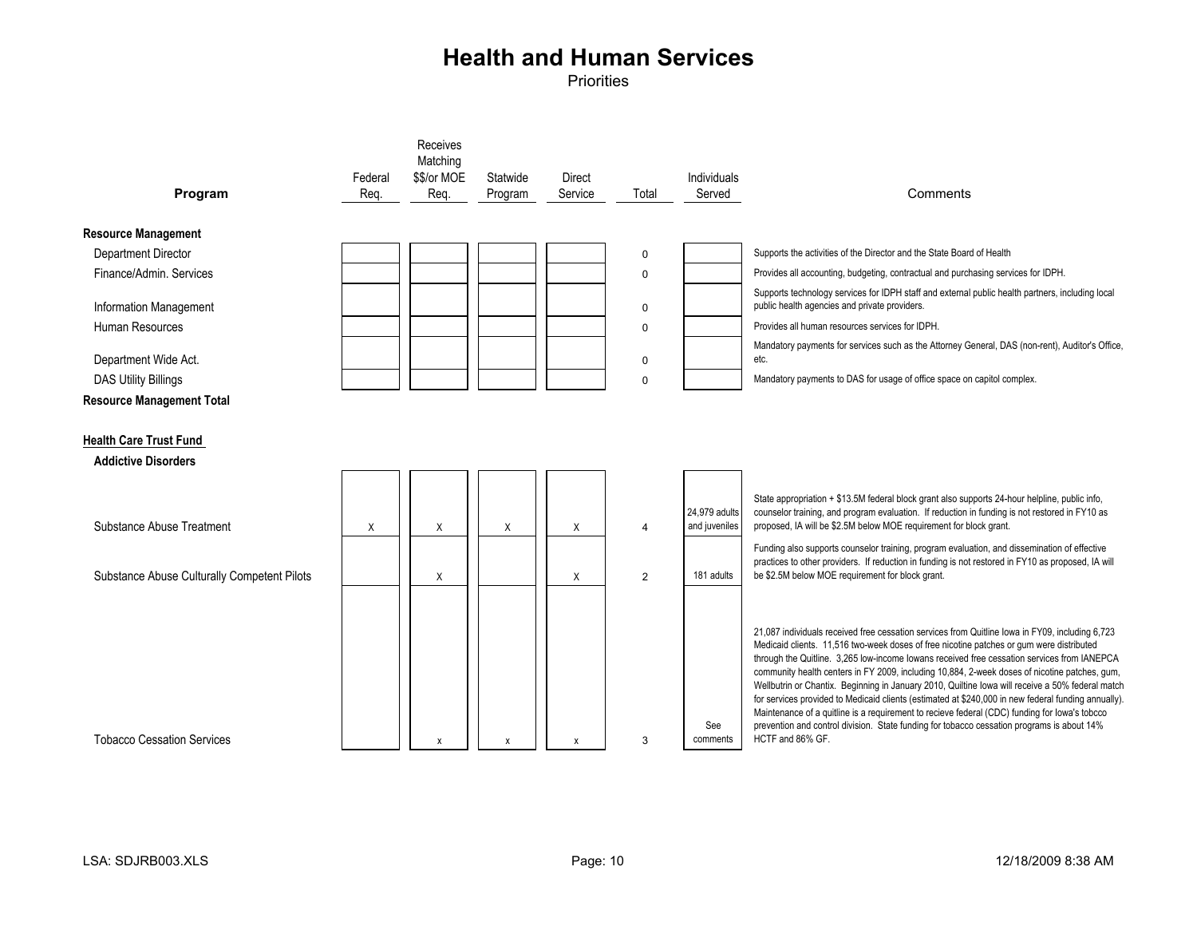| Program                                                     | Federal<br>Reg. | Receives<br>Matching<br>\$\$/or MOE<br>Req. | Statwide<br>Program | <b>Direct</b><br>Service | Total                 | Individuals<br>Served          | Comments                                                                                                                                                                                                                                                                                                                                                                                                                                                                                                                                                                                                                                                                                                                                                                                                                  |
|-------------------------------------------------------------|-----------------|---------------------------------------------|---------------------|--------------------------|-----------------------|--------------------------------|---------------------------------------------------------------------------------------------------------------------------------------------------------------------------------------------------------------------------------------------------------------------------------------------------------------------------------------------------------------------------------------------------------------------------------------------------------------------------------------------------------------------------------------------------------------------------------------------------------------------------------------------------------------------------------------------------------------------------------------------------------------------------------------------------------------------------|
| <b>Resource Management</b>                                  |                 |                                             |                     |                          |                       |                                |                                                                                                                                                                                                                                                                                                                                                                                                                                                                                                                                                                                                                                                                                                                                                                                                                           |
| Department Director                                         |                 |                                             |                     |                          | $\mathbf 0$           |                                | Supports the activities of the Director and the State Board of Health                                                                                                                                                                                                                                                                                                                                                                                                                                                                                                                                                                                                                                                                                                                                                     |
| Finance/Admin, Services                                     |                 |                                             |                     |                          | $\mathbf 0$           |                                | Provides all accounting, budgeting, contractual and purchasing services for IDPH.                                                                                                                                                                                                                                                                                                                                                                                                                                                                                                                                                                                                                                                                                                                                         |
| Information Management                                      |                 |                                             |                     |                          | 0                     |                                | Supports technology services for IDPH staff and external public health partners, including local<br>public health agencies and private providers.                                                                                                                                                                                                                                                                                                                                                                                                                                                                                                                                                                                                                                                                         |
| Human Resources                                             |                 |                                             |                     |                          | $\mathbf 0$           |                                | Provides all human resources services for IDPH.                                                                                                                                                                                                                                                                                                                                                                                                                                                                                                                                                                                                                                                                                                                                                                           |
| Department Wide Act.                                        |                 |                                             |                     |                          | 0                     |                                | Mandatory payments for services such as the Attorney General, DAS (non-rent), Auditor's Office,<br>etc.                                                                                                                                                                                                                                                                                                                                                                                                                                                                                                                                                                                                                                                                                                                   |
| <b>DAS Utility Billings</b>                                 |                 |                                             |                     |                          | $\mathbf 0$           |                                | Mandatory payments to DAS for usage of office space on capitol complex.                                                                                                                                                                                                                                                                                                                                                                                                                                                                                                                                                                                                                                                                                                                                                   |
| <b>Resource Management Total</b>                            |                 |                                             |                     |                          |                       |                                |                                                                                                                                                                                                                                                                                                                                                                                                                                                                                                                                                                                                                                                                                                                                                                                                                           |
| <b>Health Care Trust Fund</b><br><b>Addictive Disorders</b> |                 |                                             |                     |                          |                       |                                |                                                                                                                                                                                                                                                                                                                                                                                                                                                                                                                                                                                                                                                                                                                                                                                                                           |
| Substance Abuse Treatment                                   | Χ               | X                                           | X                   | X                        | $\boldsymbol{\Delta}$ | 24,979 adults<br>and juveniles | State appropriation + \$13.5M federal block grant also supports 24-hour helpline, public info,<br>counselor training, and program evaluation. If reduction in funding is not restored in FY10 as<br>proposed, IA will be \$2.5M below MOE requirement for block grant.                                                                                                                                                                                                                                                                                                                                                                                                                                                                                                                                                    |
| Substance Abuse Culturally Competent Pilots                 |                 | X                                           |                     | X                        | $\overline{2}$        | 181 adults                     | Funding also supports counselor training, program evaluation, and dissemination of effective<br>practices to other providers. If reduction in funding is not restored in FY10 as proposed, IA will<br>be \$2.5M below MOE requirement for block grant.                                                                                                                                                                                                                                                                                                                                                                                                                                                                                                                                                                    |
| <b>Tobacco Cessation Services</b>                           |                 | X                                           | $\boldsymbol{x}$    | X                        | 3                     | See<br>comments                | 21,087 individuals received free cessation services from Quitline Iowa in FY09, including 6,723<br>Medicaid clients. 11,516 two-week doses of free nicotine patches or gum were distributed<br>through the Quitline. 3,265 low-income lowans received free cessation services from IANEPCA<br>community health centers in FY 2009, including 10,884, 2-week doses of nicotine patches, gum,<br>Wellbutrin or Chantix. Beginning in January 2010, Quiltine lowa will receive a 50% federal match<br>for services provided to Medicaid clients (estimated at \$240,000 in new federal funding annually).<br>Maintenance of a quitline is a requirement to recieve federal (CDC) funding for lowa's tobcco<br>prevention and control division. State funding for tobacco cessation programs is about 14%<br>HCTF and 86% GF. |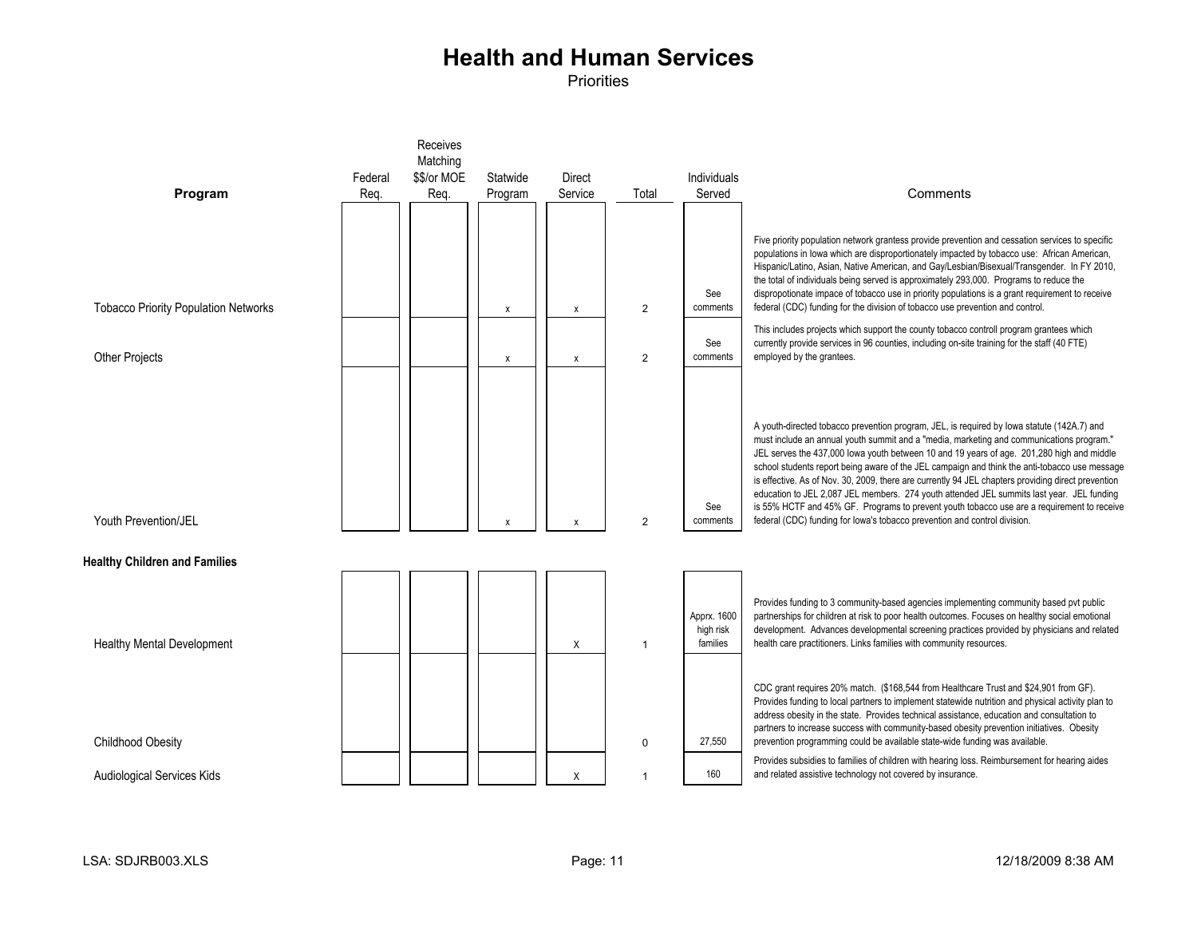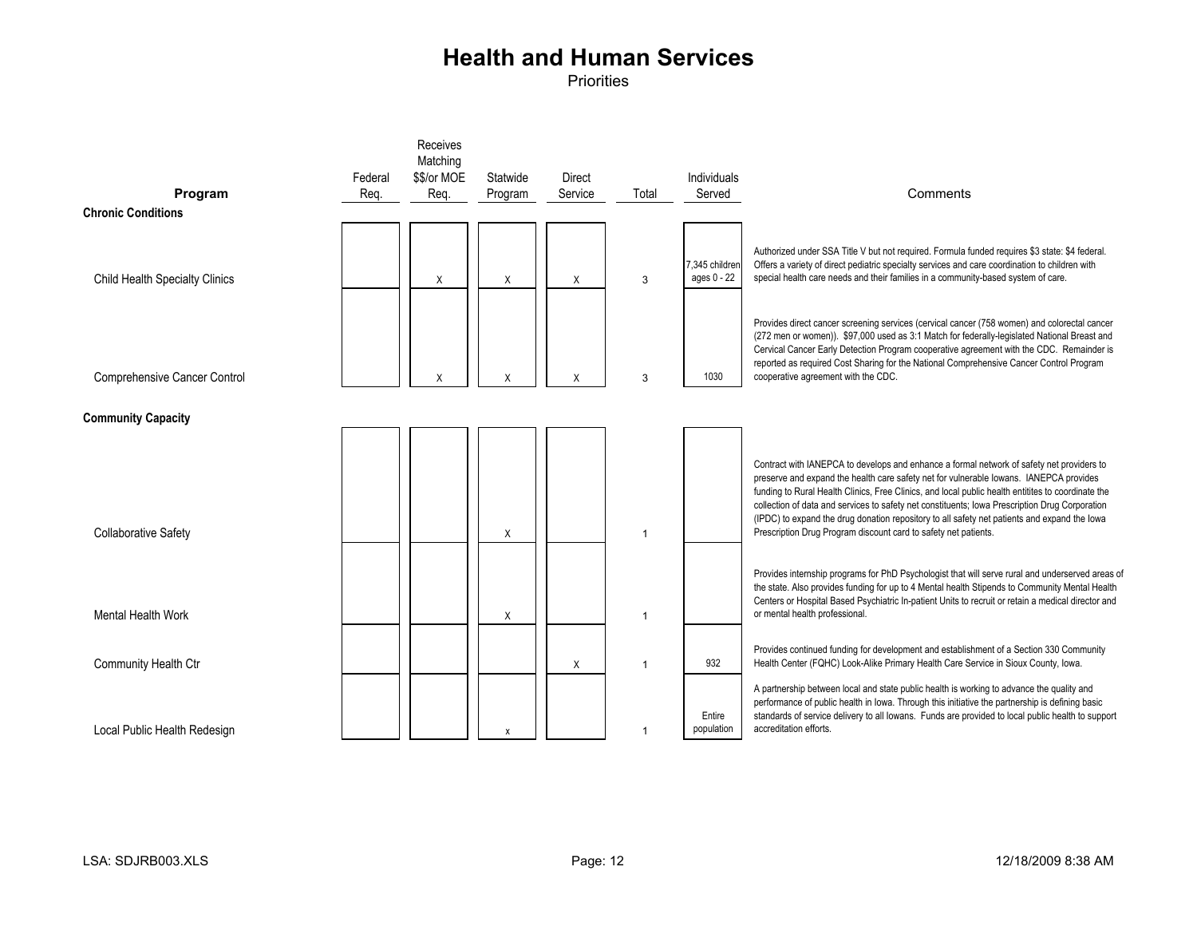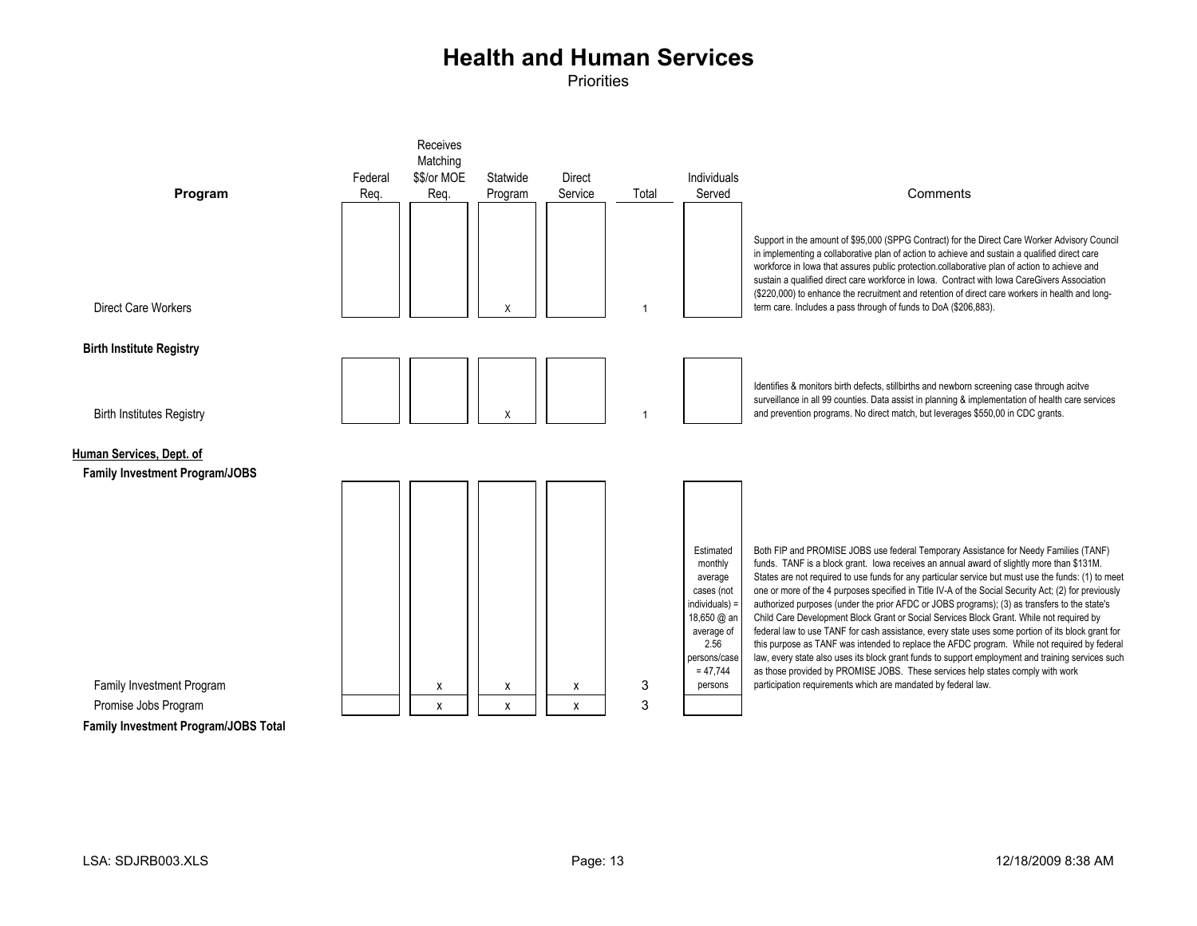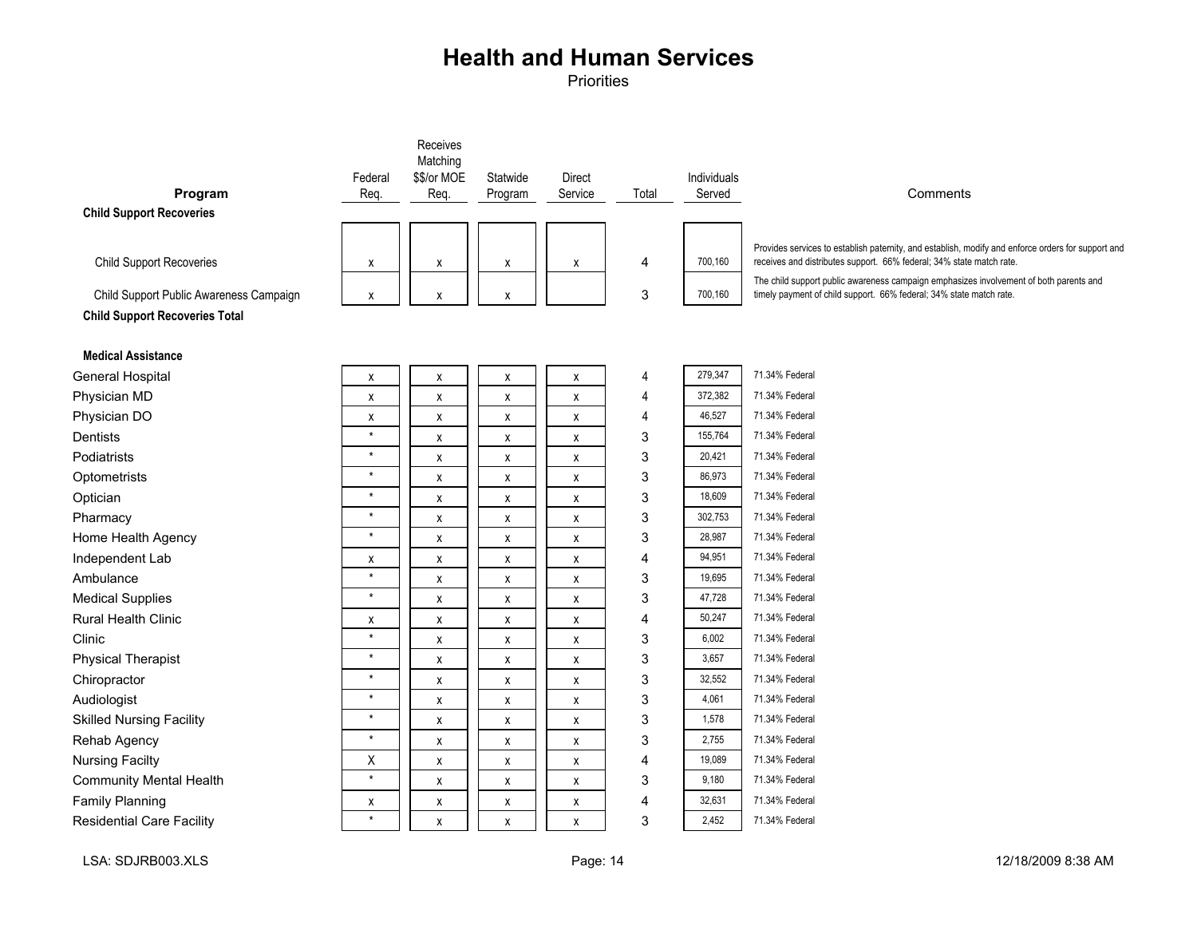|                                         | Federal            | Receives<br>Matching<br>\$\$/or MOE | Statwide           | <b>Direct</b> |       | Individuals |                                                                                                                                                               |
|-----------------------------------------|--------------------|-------------------------------------|--------------------|---------------|-------|-------------|---------------------------------------------------------------------------------------------------------------------------------------------------------------|
| Program                                 | Req.               | Req.                                | Program            | Service       | Total | Served      | Comments                                                                                                                                                      |
| <b>Child Support Recoveries</b>         |                    |                                     |                    |               |       |             |                                                                                                                                                               |
|                                         |                    |                                     |                    |               |       |             | Provides services to establish paternity, and establish, modify and enforce orders for support and                                                            |
| <b>Child Support Recoveries</b>         | χ                  | X                                   | X                  | X             | 4     | 700,160     | receives and distributes support. 66% federal; 34% state match rate.                                                                                          |
| Child Support Public Awareness Campaign | Х                  | X                                   | X                  |               | 3     | 700,160     | The child support public awareness campaign emphasizes involvement of both parents and<br>timely payment of child support. 66% federal; 34% state match rate. |
| <b>Child Support Recoveries Total</b>   |                    |                                     |                    |               |       |             |                                                                                                                                                               |
|                                         |                    |                                     |                    |               |       |             |                                                                                                                                                               |
| <b>Medical Assistance</b>               |                    |                                     |                    |               |       |             |                                                                                                                                                               |
| <b>General Hospital</b>                 | Х                  | х                                   | X                  | Х             | 4     | 279,347     | 71.34% Federal                                                                                                                                                |
| Physician MD                            | χ                  | X                                   | х                  | X             | 4     | 372,382     | 71.34% Federal                                                                                                                                                |
| Physician DO                            | $\pmb{\mathsf{x}}$ | $\pmb{\mathsf{X}}$                  | X                  | x             | 4     | 46,527      | 71.34% Federal                                                                                                                                                |
| Dentists                                | $\star$            | $\pmb{\mathsf{X}}$                  | $\pmb{\mathsf{x}}$ | X             | 3     | 155,764     | 71.34% Federal                                                                                                                                                |
| Podiatrists                             | $^\star$           | X                                   | X                  | x             | 3     | 20,421      | 71.34% Federal                                                                                                                                                |
| Optometrists                            | $\star$            | X                                   | X                  | X             | 3     | 86,973      | 71.34% Federal                                                                                                                                                |
| Optician                                | $\star$            | $\pmb{\mathsf{X}}$                  | $\pmb{\mathsf{X}}$ | X             | 3     | 18,609      | 71.34% Federal                                                                                                                                                |
| Pharmacy                                | $\star$            | X                                   | X                  | Х             | 3     | 302,753     | 71.34% Federal                                                                                                                                                |
| Home Health Agency                      | $\star$            | $\pmb{\mathsf{X}}$                  | $\pmb{\mathsf{x}}$ | X             | 3     | 28,987      | 71.34% Federal                                                                                                                                                |
| Independent Lab                         | X                  | X                                   | $\pmb{\mathsf{x}}$ | x             | 4     | 94,951      | 71.34% Federal                                                                                                                                                |
| Ambulance                               | $\star$            | X                                   | X                  | x             | 3     | 19,695      | 71.34% Federal                                                                                                                                                |
| <b>Medical Supplies</b>                 | $\star$            | $\pmb{\mathsf{X}}$                  | Χ                  | Χ             | 3     | 47,728      | 71.34% Federal                                                                                                                                                |
| <b>Rural Health Clinic</b>              | χ                  | χ                                   | х                  | Χ             | 4     | 50,247      | 71.34% Federal                                                                                                                                                |
| Clinic                                  | $\star$            | X                                   | X                  | x             | 3     | 6,002       | 71.34% Federal                                                                                                                                                |
| <b>Physical Therapist</b>               | $\star$            | X                                   | X                  | X             | 3     | 3,657       | 71.34% Federal                                                                                                                                                |
| Chiropractor                            | $\star$            | X                                   | X                  | x             | 3     | 32,552      | 71.34% Federal                                                                                                                                                |
| Audiologist                             | $\star$            | $\pmb{\mathsf{X}}$                  | $\pmb{\mathsf{x}}$ | X             | 3     | 4,061       | 71.34% Federal                                                                                                                                                |
| <b>Skilled Nursing Facility</b>         | $\star$            | X                                   | X                  | X             | 3     | 1,578       | 71.34% Federal                                                                                                                                                |
| Rehab Agency                            | $\star$            | X                                   | X                  | x             | 3     | 2,755       | 71.34% Federal                                                                                                                                                |
| <b>Nursing Facilty</b>                  | X                  | X                                   | X                  | X             | 4     | 19,089      | 71.34% Federal                                                                                                                                                |
| <b>Community Mental Health</b>          | $\star$            | X                                   | $\pmb{\mathsf{x}}$ | X             | 3     | 9,180       | 71.34% Federal                                                                                                                                                |
| <b>Family Planning</b>                  | χ                  | X                                   | Χ                  | X             | 4     | 32,631      | 71.34% Federal                                                                                                                                                |
| <b>Residential Care Facility</b>        | $\star$            | X                                   | X                  | X             | 3     | 2,452       | 71.34% Federal                                                                                                                                                |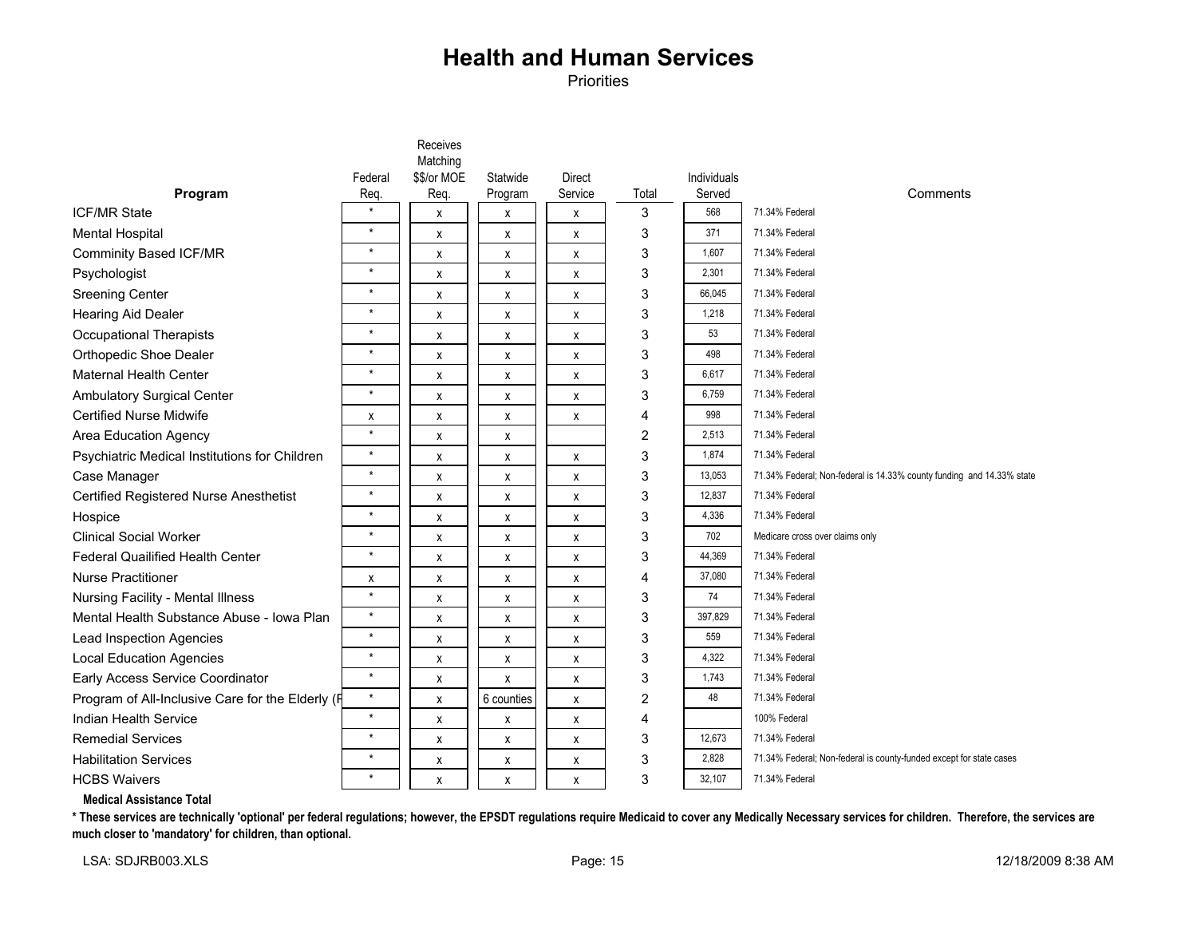Priorities

|                                                  |          | Receives<br>Matching |            |               |       |             |                                                                       |
|--------------------------------------------------|----------|----------------------|------------|---------------|-------|-------------|-----------------------------------------------------------------------|
|                                                  | Federal  | \$\$/or MOE          | Statwide   | <b>Direct</b> |       | Individuals |                                                                       |
| Program                                          | Req.     | Req.                 | Program    | Service       | Total | Served      | Comments                                                              |
| <b>ICF/MR State</b>                              | $\star$  | X                    | X          | χ             | 3     | 568         | 71.34% Federal                                                        |
| <b>Mental Hospital</b>                           | $\star$  | X                    | x          | X             | 3     | 371         | 71.34% Federal                                                        |
| <b>Comminity Based ICF/MR</b>                    | $\star$  | X                    | х          | X             | 3     | 1,607       | 71.34% Federal                                                        |
| Psychologist                                     | $\star$  | X                    | Χ          | χ             | 3     | 2,301       | 71.34% Federal                                                        |
| <b>Sreening Center</b>                           | $\star$  | X                    | X          | X             | 3     | 66,045      | 71.34% Federal                                                        |
| <b>Hearing Aid Dealer</b>                        | $\star$  | X                    | х          | X             | 3     | 1,218       | 71.34% Federal                                                        |
| <b>Occupational Therapists</b>                   | $\star$  | X                    | X          | χ             | 3     | 53          | 71.34% Federal                                                        |
| Orthopedic Shoe Dealer                           | $\star$  | X                    | X          | X             | 3     | 498         | 71.34% Federal                                                        |
| <b>Maternal Health Center</b>                    | $\star$  | X                    | х          | X             | 3     | 6,617       | 71.34% Federal                                                        |
| <b>Ambulatory Surgical Center</b>                | $\star$  | X                    | X          | χ             | 3     | 6,759       | 71.34% Federal                                                        |
| <b>Certified Nurse Midwife</b>                   | Х        | X                    | X          | X             | 4     | 998         | 71.34% Federal                                                        |
| Area Education Agency                            | $\star$  | X                    | х          |               | 2     | 2,513       | 71.34% Federal                                                        |
| Psychiatric Medical Institutions for Children    | $\star$  | X                    | X          | X             | 3     | 1,874       | 71.34% Federal                                                        |
| Case Manager                                     | $\star$  | X                    | X          | X             | 3     | 13,053      | 71.34% Federal; Non-federal is 14.33% county funding and 14.33% state |
| Certified Registered Nurse Anesthetist           | $\star$  | X                    | Χ          | χ             | 3     | 12,837      | 71.34% Federal                                                        |
| Hospice                                          | $\star$  | X                    | X          | X             | 3     | 4,336       | 71.34% Federal                                                        |
| <b>Clinical Social Worker</b>                    | $\star$  | X                    | х          | X             | 3     | 702         | Medicare cross over claims only                                       |
| <b>Federal Quailified Health Center</b>          | $\star$  | X                    | Χ          | χ             | 3     | 44,369      | 71.34% Federal                                                        |
| <b>Nurse Practitioner</b>                        | X        | X                    | X          | X             | 4     | 37,080      | 71.34% Federal                                                        |
| Nursing Facility - Mental Illness                | $\star$  | X                    | X          | X             | 3     | 74          | 71.34% Federal                                                        |
| Mental Health Substance Abuse - Iowa Plan        | $\star$  | X                    | X          | X             | 3     | 397,829     | 71.34% Federal                                                        |
| Lead Inspection Agencies                         | $\star$  | X                    | X          | X             | 3     | 559         | 71.34% Federal                                                        |
| <b>Local Education Agencies</b>                  | $\star$  | X                    | X          | X             | 3     | 4,322       | 71.34% Federal                                                        |
| Early Access Service Coordinator                 | $\star$  | X                    | x          | X             | 3     | 1.743       | 71.34% Federal                                                        |
| Program of All-Inclusive Care for the Elderly (F | $\star$  | X                    | 6 counties | X             | 2     | 48          | 71.34% Federal                                                        |
| Indian Health Service                            | $\star$  | X                    | x          | X             | 4     |             | 100% Federal                                                          |
| <b>Remedial Services</b>                         | $^\star$ | х                    | х          | X             | 3     | 12.673      | 71.34% Federal                                                        |
| <b>Habilitation Services</b>                     | $\star$  | X                    | х          | X             | 3     | 2,828       | 71.34% Federal; Non-federal is county-funded except for state cases   |
| <b>HCBS Waivers</b>                              | $\star$  | X                    | х          | X             | 3     | 32,107      | 71.34% Federal                                                        |

#### **Medical Assistance Total**

**\* These services are technically 'optional' per federal regulations; however, the EPSDT regulations require Medicaid to cover any Medically Necessary services for children. Therefore, the services are much closer to 'mandatory' for children, than optional.**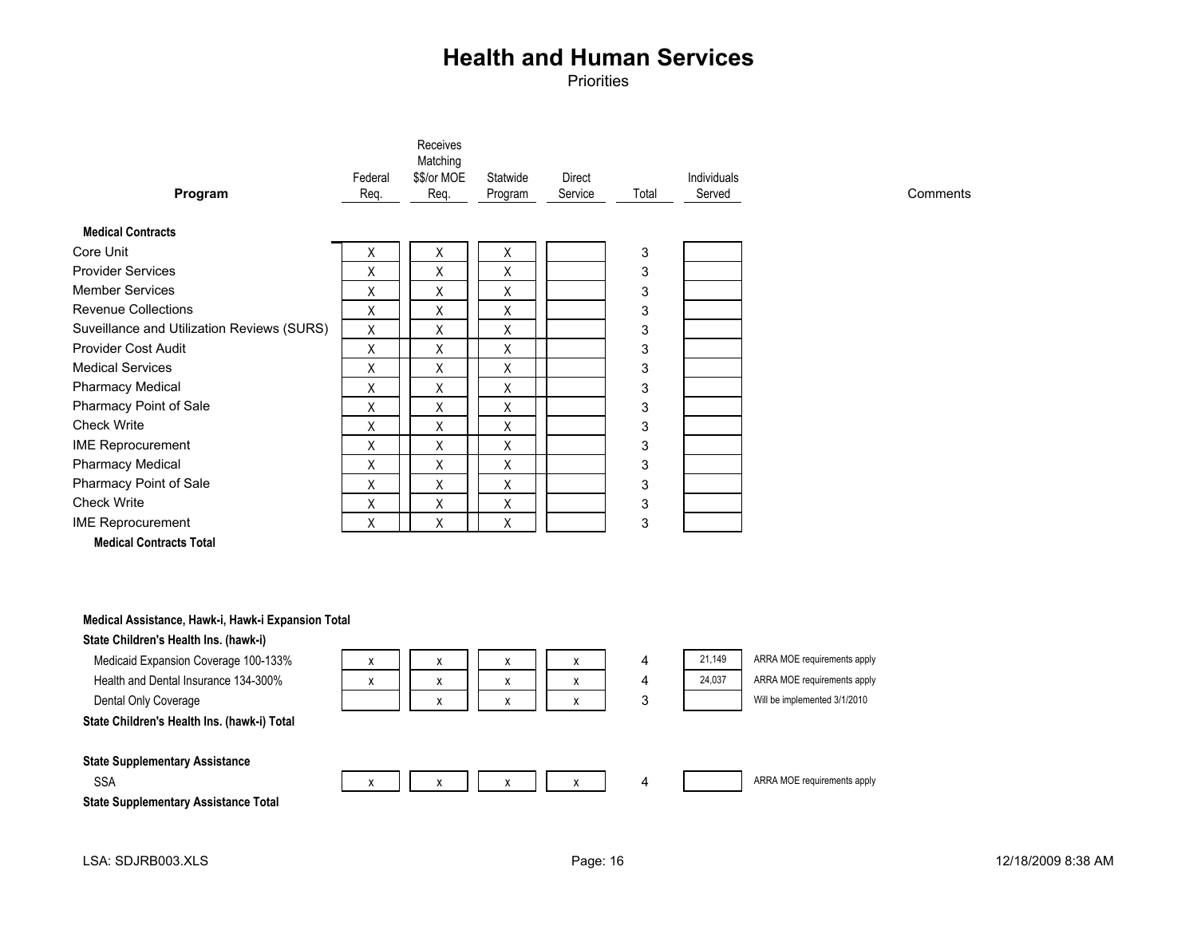Priorities

| Program                                    | Federal<br>Req. | Receives<br>Matching<br>\$\$/or MOE<br>Req. | Statwide<br>Program | Direct<br>Service | Total | <b>Individuals</b><br>Served |
|--------------------------------------------|-----------------|---------------------------------------------|---------------------|-------------------|-------|------------------------------|
| <b>Medical Contracts</b>                   |                 |                                             |                     |                   |       |                              |
| Core Unit                                  | Χ               | Χ                                           | Χ                   |                   | 3     |                              |
| <b>Provider Services</b>                   | X               | X                                           | X                   |                   | 3     |                              |
| <b>Member Services</b>                     | X               | X                                           | X                   |                   | 3     |                              |
| <b>Revenue Collections</b>                 | X               | X                                           | X                   |                   | 3     |                              |
| Suveillance and Utilization Reviews (SURS) | X               | X                                           | X                   |                   | 3     |                              |
| Provider Cost Audit                        | X               | X                                           | X                   |                   | 3     |                              |
| <b>Medical Services</b>                    | Χ               | Χ                                           | Χ                   |                   | 3     |                              |
| <b>Pharmacy Medical</b>                    | X               | X                                           | X                   |                   | 3     |                              |
| Pharmacy Point of Sale                     | X               | X                                           | X                   |                   | 3     |                              |
| <b>Check Write</b>                         | X               | X                                           | X                   |                   | 3     |                              |
| <b>IME Reprocurement</b>                   | X               | X                                           | X                   |                   | 3     |                              |
| <b>Pharmacy Medical</b>                    | X               | X                                           | X                   |                   | 3     |                              |
| Pharmacy Point of Sale                     | X               | X                                           | X                   |                   | 3     |                              |
| <b>Check Write</b>                         | X               | X                                           | X                   |                   | 3     |                              |
| <b>IME Reprocurement</b>                   | X               | X                                           | X                   |                   | 3     |                              |

**Medical Contracts Total**

#### **Medical Assistance, Hawk-i, Hawk-i Expansion Total**

#### **State Children's Health Ins. (hawk-i)**

| Medicaid Expansion Coverage 100-133%        | х | x | x          | X | 4 | 21.149 | ARRA MOE requirements apply  |
|---------------------------------------------|---|---|------------|---|---|--------|------------------------------|
| Health and Dental Insurance 134-300%        | х | x | x          | X | 4 | 24,037 | ARRA MOE requirements apply  |
| Dental Only Coverage                        |   |   | $\check{}$ | x | 3 |        | Will be implemented 3/1/2010 |
| State Children's Health Ins. (hawk-i) Total |   |   |            |   |   |        |                              |
|                                             |   |   |            |   |   |        |                              |
| <b>State Supplementary Assistance</b>       |   |   |            |   |   |        |                              |
| <b>SSA</b>                                  |   |   | x          |   | 4 |        | ARRA MOE requirements apply  |
| <b>State Supplementary Assistance Total</b> |   |   |            |   |   |        |                              |

**Comments**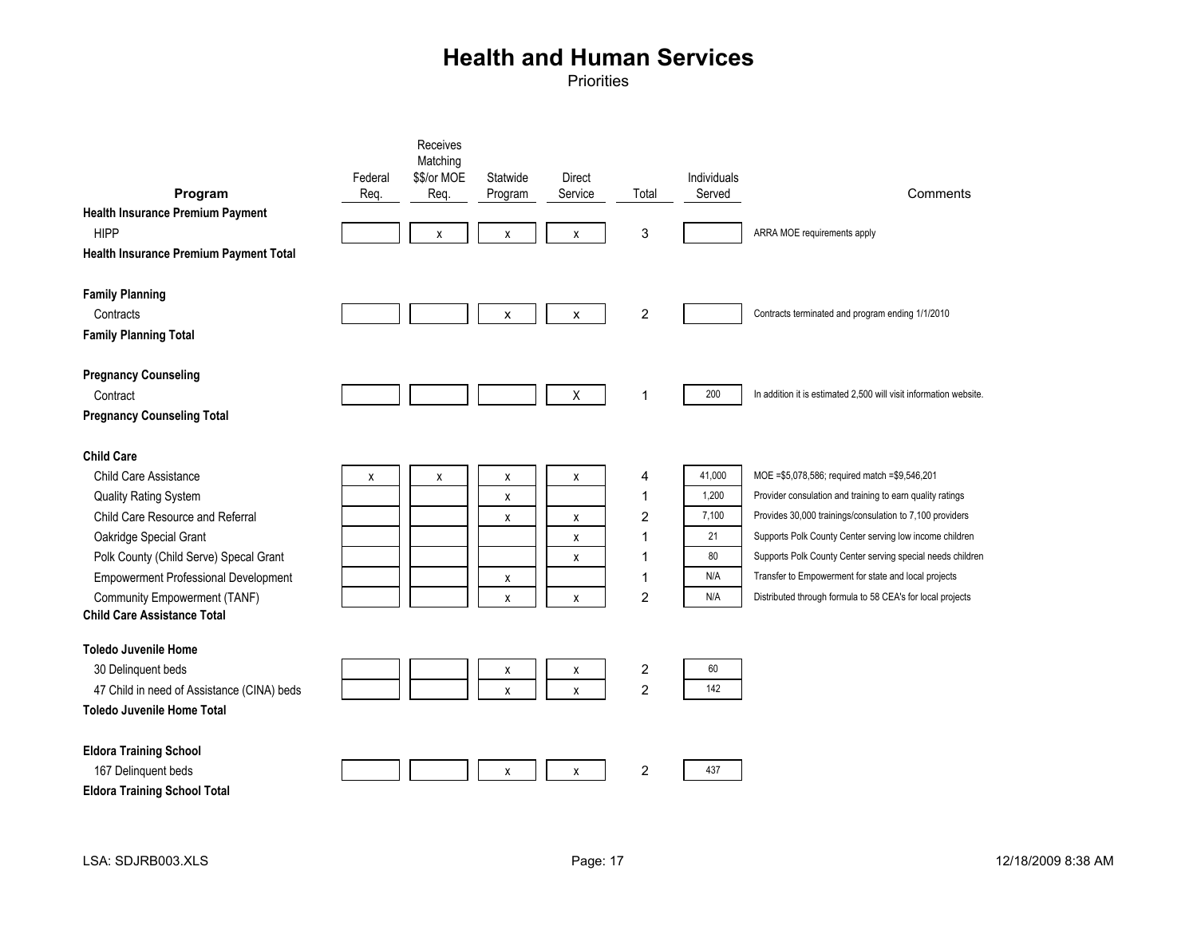| Program<br><b>Health Insurance Premium Payment</b><br><b>HIPP</b><br>Health Insurance Premium Payment Total                                                                                                                                                                                      | Federal<br>Req. | Receives<br>Matching<br>\$\$/or MOE<br>Req.<br>X | Statwide<br>Program<br>X | <b>Direct</b><br>Service<br>X | Total<br>3                                                           | Individuals<br>Served                              | Comments<br>ARRA MOE requirements apply                                                                                                                                                                                                                                                                                                                                                                                 |
|--------------------------------------------------------------------------------------------------------------------------------------------------------------------------------------------------------------------------------------------------------------------------------------------------|-----------------|--------------------------------------------------|--------------------------|-------------------------------|----------------------------------------------------------------------|----------------------------------------------------|-------------------------------------------------------------------------------------------------------------------------------------------------------------------------------------------------------------------------------------------------------------------------------------------------------------------------------------------------------------------------------------------------------------------------|
| <b>Family Planning</b><br>Contracts<br><b>Family Planning Total</b>                                                                                                                                                                                                                              |                 |                                                  | X                        | X                             | $\boldsymbol{2}$                                                     |                                                    | Contracts terminated and program ending 1/1/2010                                                                                                                                                                                                                                                                                                                                                                        |
| <b>Pregnancy Counseling</b><br>Contract<br><b>Pregnancy Counseling Total</b>                                                                                                                                                                                                                     |                 |                                                  |                          | X                             | $\mathbf{1}$                                                         | 200                                                | In addition it is estimated 2,500 will visit information website.                                                                                                                                                                                                                                                                                                                                                       |
| <b>Child Care</b><br>Child Care Assistance<br>Quality Rating System<br>Child Care Resource and Referral<br>Oakridge Special Grant<br>Polk County (Child Serve) Specal Grant<br><b>Empowerment Professional Development</b><br>Community Empowerment (TANF)<br><b>Child Care Assistance Total</b> | X               | χ                                                | X<br>X<br>x<br>x<br>X    | X<br>χ<br>X<br>X<br>X         | 4<br>$\mathbf{1}$<br>$\overline{c}$<br>1<br>1<br>1<br>$\overline{c}$ | 41,000<br>1,200<br>7.100<br>21<br>80<br>N/A<br>N/A | MOE = \$5,078,586; required match = \$9,546,201<br>Provider consulation and training to earn quality ratings<br>Provides 30,000 trainings/consulation to 7,100 providers<br>Supports Polk County Center serving low income children<br>Supports Polk County Center serving special needs children<br>Transfer to Empowerment for state and local projects<br>Distributed through formula to 58 CEA's for local projects |
| <b>Toledo Juvenile Home</b><br>30 Delinquent beds<br>47 Child in need of Assistance (CINA) beds<br><b>Toledo Juvenile Home Total</b>                                                                                                                                                             |                 |                                                  | X<br>X                   | х<br>X                        | $\boldsymbol{2}$<br>$\overline{c}$                                   | 60<br>142                                          |                                                                                                                                                                                                                                                                                                                                                                                                                         |
| <b>Eldora Training School</b><br>167 Delinquent beds<br><b>Eldora Training School Total</b>                                                                                                                                                                                                      |                 |                                                  | X                        | X                             | $\overline{c}$                                                       | 437                                                |                                                                                                                                                                                                                                                                                                                                                                                                                         |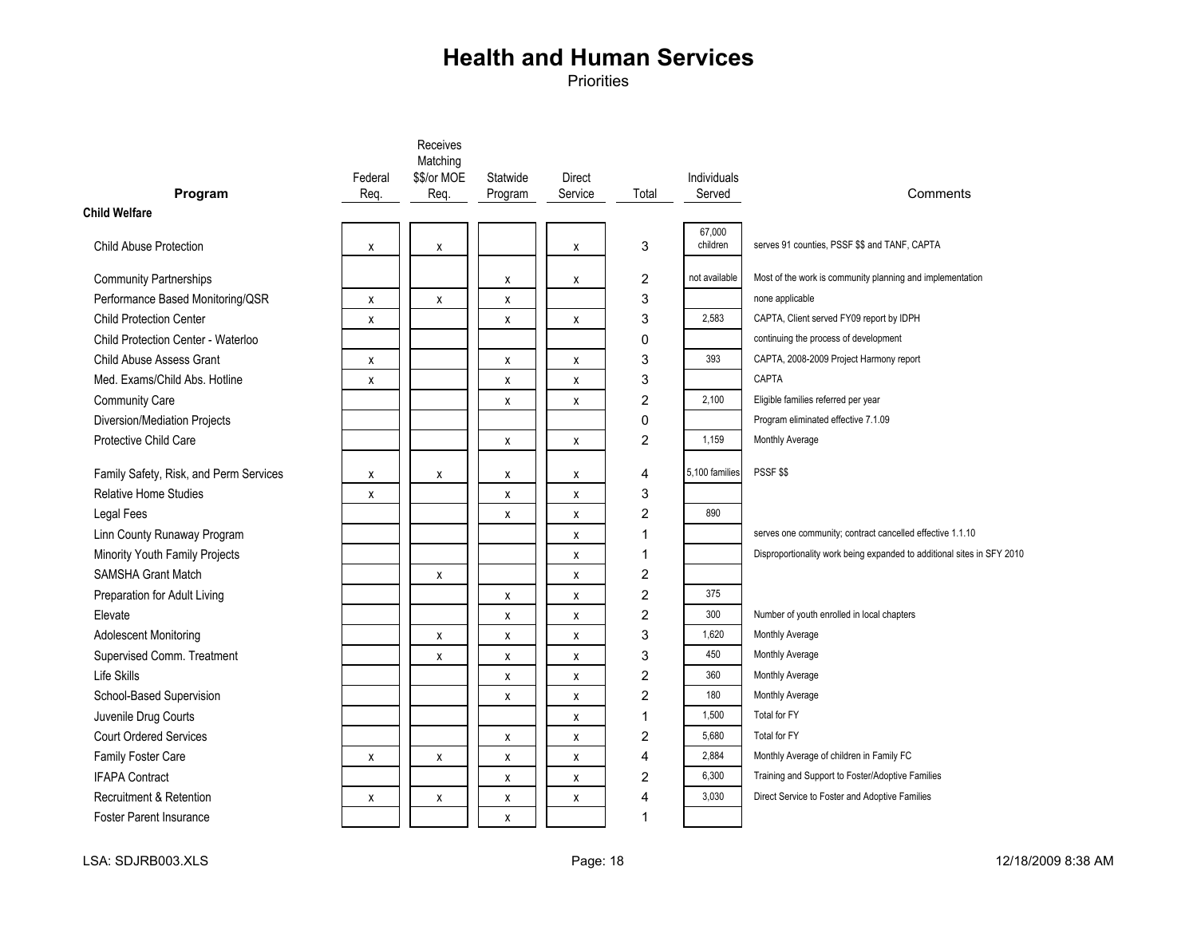|                                        |         | Receives<br>Matching |          |                    |                  |                    |                                                                        |
|----------------------------------------|---------|----------------------|----------|--------------------|------------------|--------------------|------------------------------------------------------------------------|
|                                        | Federal | \$\$/or MOE          | Statwide | Direct             |                  | <b>Individuals</b> |                                                                        |
| Program                                | Req.    | Req.                 | Program  | Service            | Total            | Served             | Comments                                                               |
| <b>Child Welfare</b>                   |         |                      |          |                    |                  |                    |                                                                        |
|                                        |         |                      |          |                    |                  | 67,000             |                                                                        |
| <b>Child Abuse Protection</b>          | X       | χ                    |          | X                  | 3                | children           | serves 91 counties, PSSF \$\$ and TANF, CAPTA                          |
| <b>Community Partnerships</b>          |         |                      | X        | X                  | 2                | not available      | Most of the work is community planning and implementation              |
| Performance Based Monitoring/QSR       | X       | x                    | X        |                    | 3                |                    | none applicable                                                        |
| Child Protection Center                | X       |                      | X        | $\pmb{\mathsf{x}}$ | 3                | 2,583              | CAPTA, Client served FY09 report by IDPH                               |
| Child Protection Center - Waterloo     |         |                      |          |                    | 0                |                    | continuing the process of development                                  |
| <b>Child Abuse Assess Grant</b>        | X       |                      | X        | X                  | 3                | 393                | CAPTA, 2008-2009 Project Harmony report                                |
| Med. Exams/Child Abs. Hotline          | x       |                      | X        | X                  | 3                |                    | <b>CAPTA</b>                                                           |
| <b>Community Care</b>                  |         |                      | X        | X                  | $\overline{c}$   | 2,100              | Eligible families referred per year                                    |
| Diversion/Mediation Projects           |         |                      |          |                    | 0                |                    | Program eliminated effective 7.1.09                                    |
| Protective Child Care                  |         |                      | X        | X                  | $\overline{2}$   | 1.159              | Monthly Average                                                        |
|                                        |         |                      |          |                    |                  |                    |                                                                        |
| Family Safety, Risk, and Perm Services | x       | X                    | х        | X                  | 4                | 5,100 families     | PSSF \$\$                                                              |
| <b>Relative Home Studies</b>           | x       |                      | X        | X                  | 3                |                    |                                                                        |
| <b>Legal Fees</b>                      |         |                      | X        | X                  | $\overline{c}$   | 890                |                                                                        |
| Linn County Runaway Program            |         |                      |          | X                  | 1                |                    | serves one community; contract cancelled effective 1.1.10              |
| Minority Youth Family Projects         |         |                      |          | X                  | 1                |                    | Disproportionality work being expanded to additional sites in SFY 2010 |
| <b>SAMSHA Grant Match</b>              |         | χ                    |          | X                  | 2                |                    |                                                                        |
| Preparation for Adult Living           |         |                      | X        | X                  | $\overline{2}$   | 375                |                                                                        |
| Elevate                                |         |                      | X        | X                  | $\overline{c}$   | 300                | Number of youth enrolled in local chapters                             |
| <b>Adolescent Monitoring</b>           |         | X                    | X        | $\pmb{\mathsf{X}}$ | 3                | 1,620              | Monthly Average                                                        |
| Supervised Comm. Treatment             |         | X                    | X        | X                  | 3                | 450                | Monthly Average                                                        |
| Life Skills                            |         |                      | X        | X                  | $\overline{c}$   | 360                | Monthly Average                                                        |
| School-Based Supervision               |         |                      | X        | X                  | $\overline{2}$   | 180                | Monthly Average                                                        |
| Juvenile Drug Courts                   |         |                      |          | X                  | $\mathbf 1$      | 1,500              | Total for FY                                                           |
| <b>Court Ordered Services</b>          |         |                      | X        | $\pmb{\mathsf{X}}$ | $\boldsymbol{2}$ | 5,680              | Total for FY                                                           |
| Family Foster Care                     | X       | x                    | X        | X                  | $\overline{4}$   | 2,884              | Monthly Average of children in Family FC                               |
| <b>IFAPA Contract</b>                  |         |                      | X        | X                  | 2                | 6,300              | Training and Support to Foster/Adoptive Families                       |
| <b>Recruitment &amp; Retention</b>     | X       | X                    | X        | $\pmb{\mathsf{x}}$ | 4                | 3,030              | Direct Service to Foster and Adoptive Families                         |
| <b>Foster Parent Insurance</b>         |         |                      | X        |                    | 1                |                    |                                                                        |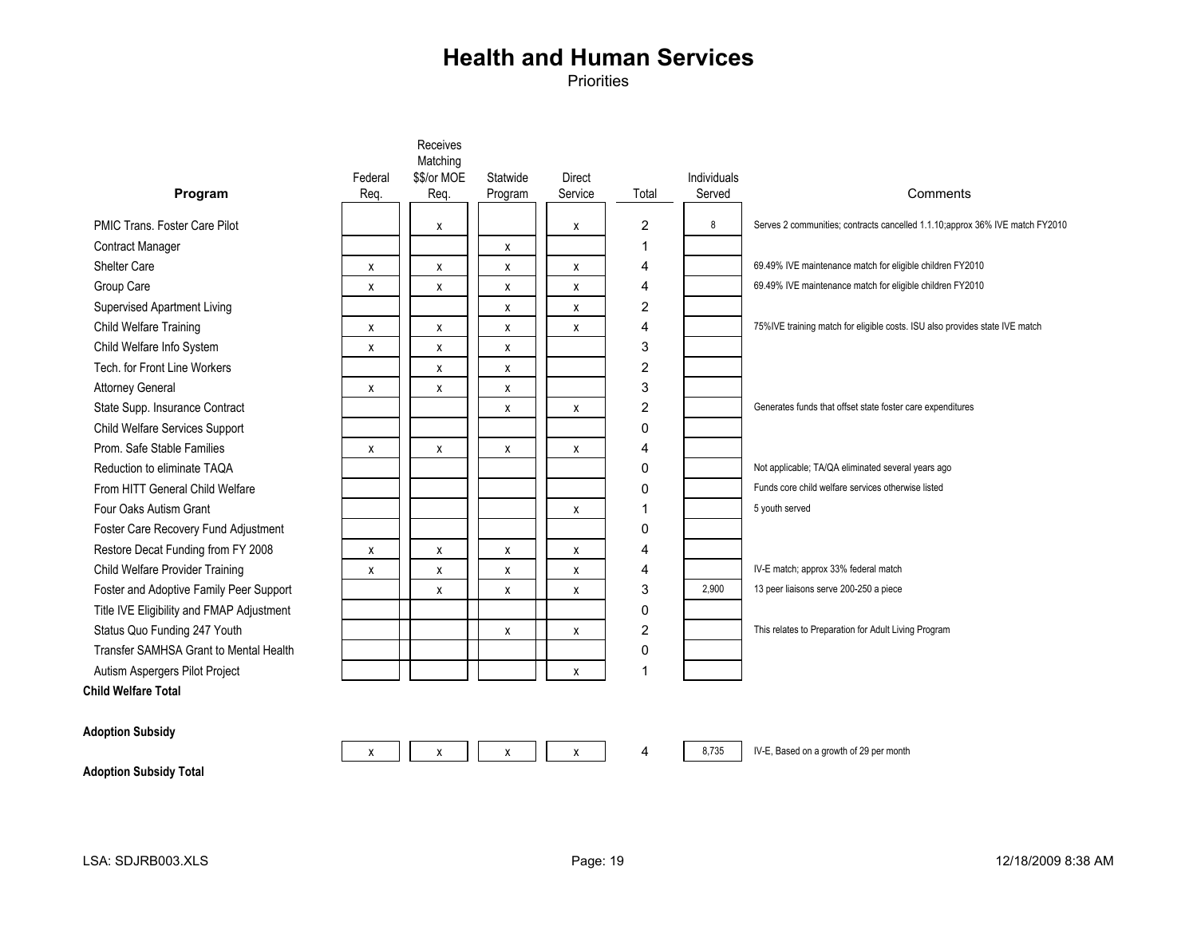Priorities

|                                           |                 | Matching    |          |                          |       |                       |                                                                               |
|-------------------------------------------|-----------------|-------------|----------|--------------------------|-------|-----------------------|-------------------------------------------------------------------------------|
| Program                                   | Federal<br>Req. | \$\$/or MOE | Statwide | <b>Direct</b><br>Service | Total | Individuals<br>Served | Comments                                                                      |
|                                           |                 | Req.        | Program  |                          |       |                       |                                                                               |
| PMIC Trans. Foster Care Pilot             |                 | X           |          | x                        | 2     | 8                     | Serves 2 communities; contracts cancelled 1.1.10; approx 36% IVE match FY2010 |
| Contract Manager                          |                 |             | х        |                          | 1     |                       |                                                                               |
| <b>Shelter Care</b>                       | X               | X           | х        | X                        | 4     |                       | 69.49% IVE maintenance match for eligible children FY2010                     |
| Group Care                                | X               | X           | х        | X                        | 4     |                       | 69.49% IVE maintenance match for eligible children FY2010                     |
| Supervised Apartment Living               |                 |             | х        | x                        | 2     |                       |                                                                               |
| Child Welfare Training                    | X               | X           | х        | X                        | 4     |                       | 75%IVE training match for eligible costs. ISU also provides state IVE match   |
| Child Welfare Info System                 | X               | X           | X        |                          | 3     |                       |                                                                               |
| Tech, for Front Line Workers              |                 | X           | X        |                          | 2     |                       |                                                                               |
| <b>Attorney General</b>                   | х               | X           | X        |                          | 3     |                       |                                                                               |
| State Supp. Insurance Contract            |                 |             | х        | X                        | 2     |                       | Generates funds that offset state foster care expenditures                    |
| Child Welfare Services Support            |                 |             |          |                          | 0     |                       |                                                                               |
| Prom. Safe Stable Families                | X               | X           | X        | X                        | 4     |                       |                                                                               |
| Reduction to eliminate TAQA               |                 |             |          |                          | 0     |                       | Not applicable; TA/QA eliminated several years ago                            |
| From HITT General Child Welfare           |                 |             |          |                          | 0     |                       | Funds core child welfare services otherwise listed                            |
| Four Oaks Autism Grant                    |                 |             |          | x                        | 1     |                       | 5 youth served                                                                |
| Foster Care Recovery Fund Adjustment      |                 |             |          |                          | 0     |                       |                                                                               |
| Restore Decat Funding from FY 2008        | X               | X           | X        | X                        | 4     |                       |                                                                               |
| Child Welfare Provider Training           | X               | X           | х        | X                        | 4     |                       | IV-E match; approx 33% federal match                                          |
| Foster and Adoptive Family Peer Support   |                 | X           | X        | x                        | 3     | 2.900                 | 13 peer liaisons serve 200-250 a piece                                        |
| Title IVE Eligibility and FMAP Adjustment |                 |             |          |                          | 0     |                       |                                                                               |
| Status Quo Funding 247 Youth              |                 |             | X        | x                        | 2     |                       | This relates to Preparation for Adult Living Program                          |
| Transfer SAMHSA Grant to Mental Health    |                 |             |          |                          | 0     |                       |                                                                               |
| Autism Aspergers Pilot Project            |                 |             |          | X                        | 1     |                       |                                                                               |
| ild Welfare Total                         |                 |             |          |                          |       |                       |                                                                               |

PMIC Trans. Foste Contract Manager Shelter Care Supervised Apartn Child Welfare Info Tech. for Front Lin Attorney General Child Welfare Serv Prom. Safe Stable Reduction to elimin From HITT General Four Oaks Autism Foster Care Recov Restore Decat Fur Title IVE Eligibility Transfer SAMHSA Autism Aspergers **Child Welfare Total**

**Adoption Subsidy**



Receives

8,735 IV-E, Based on a growth of 29 per month

**Adoption Subsidy Total**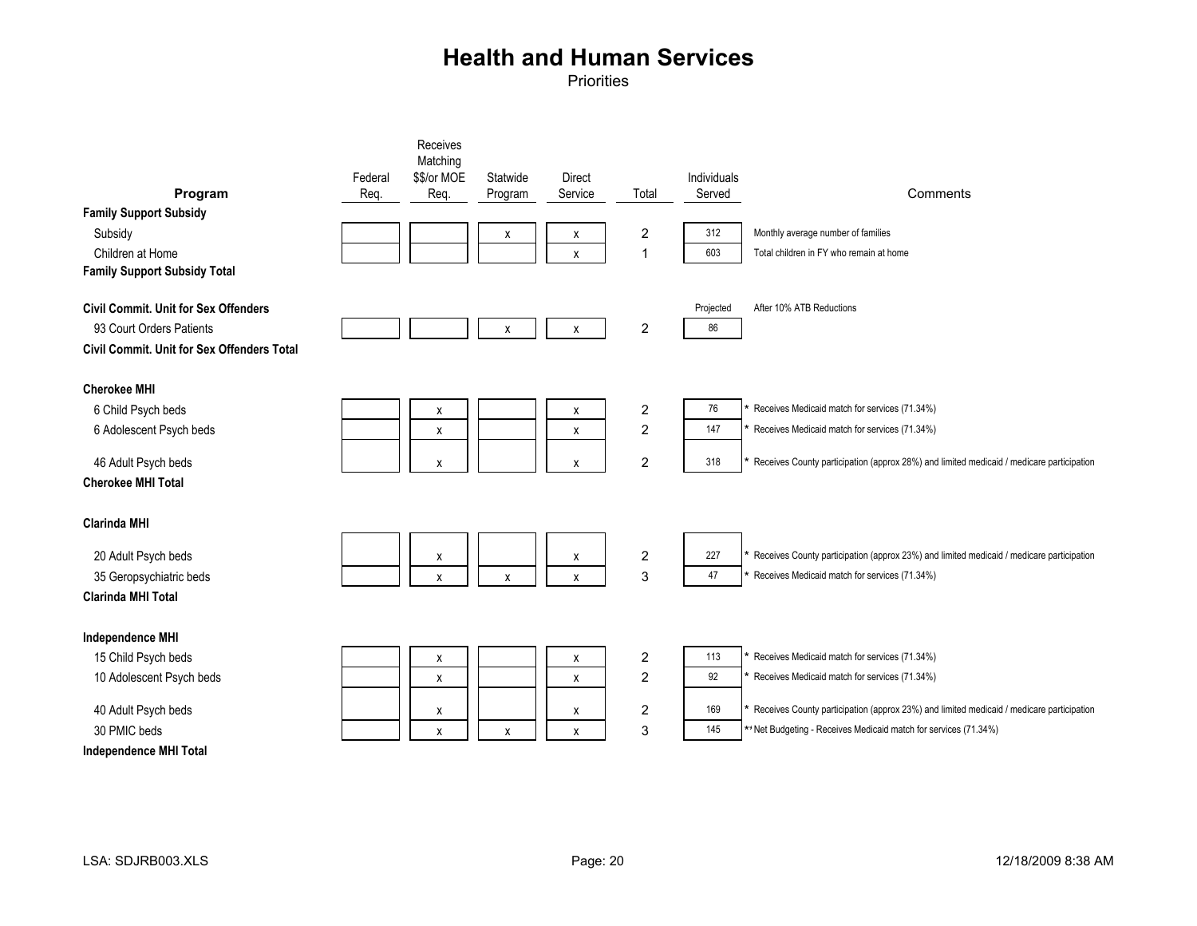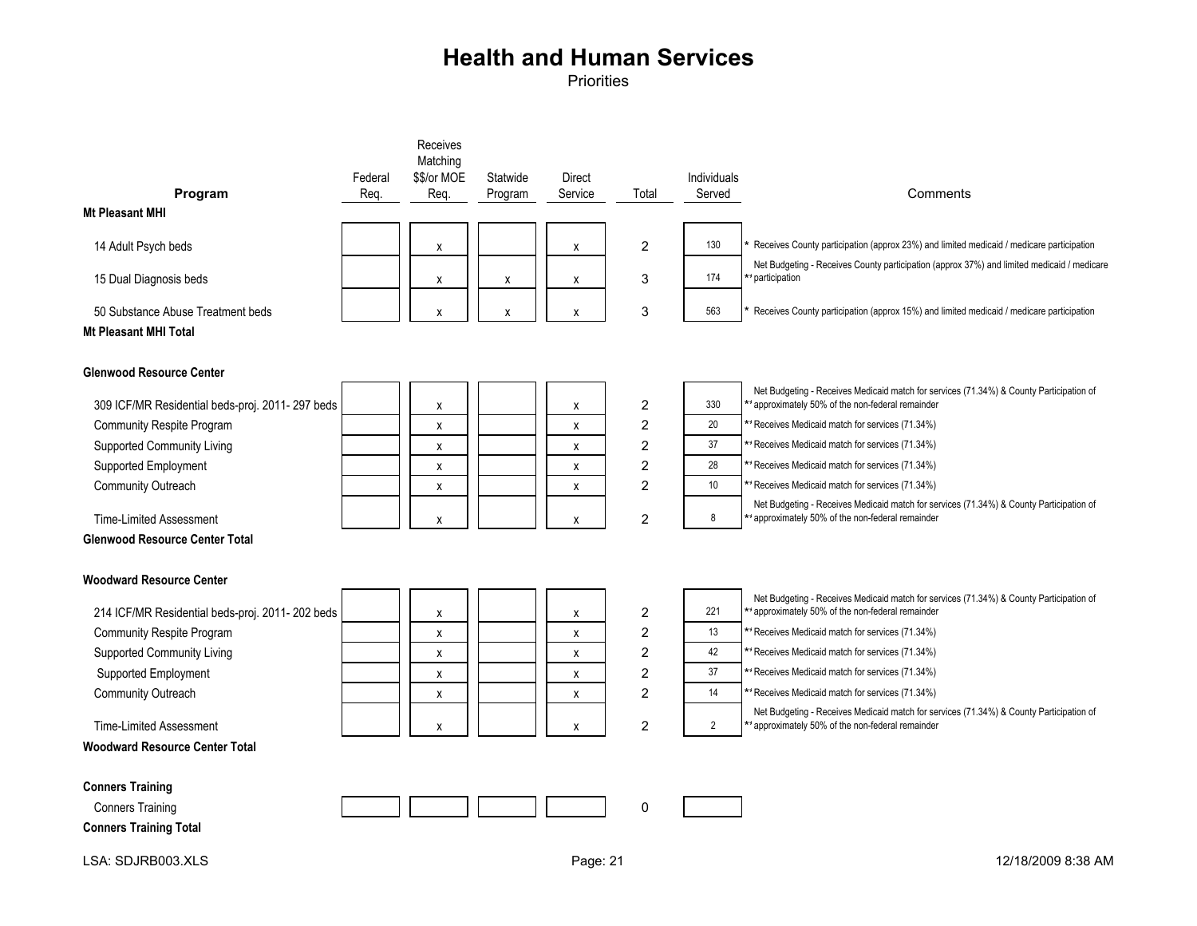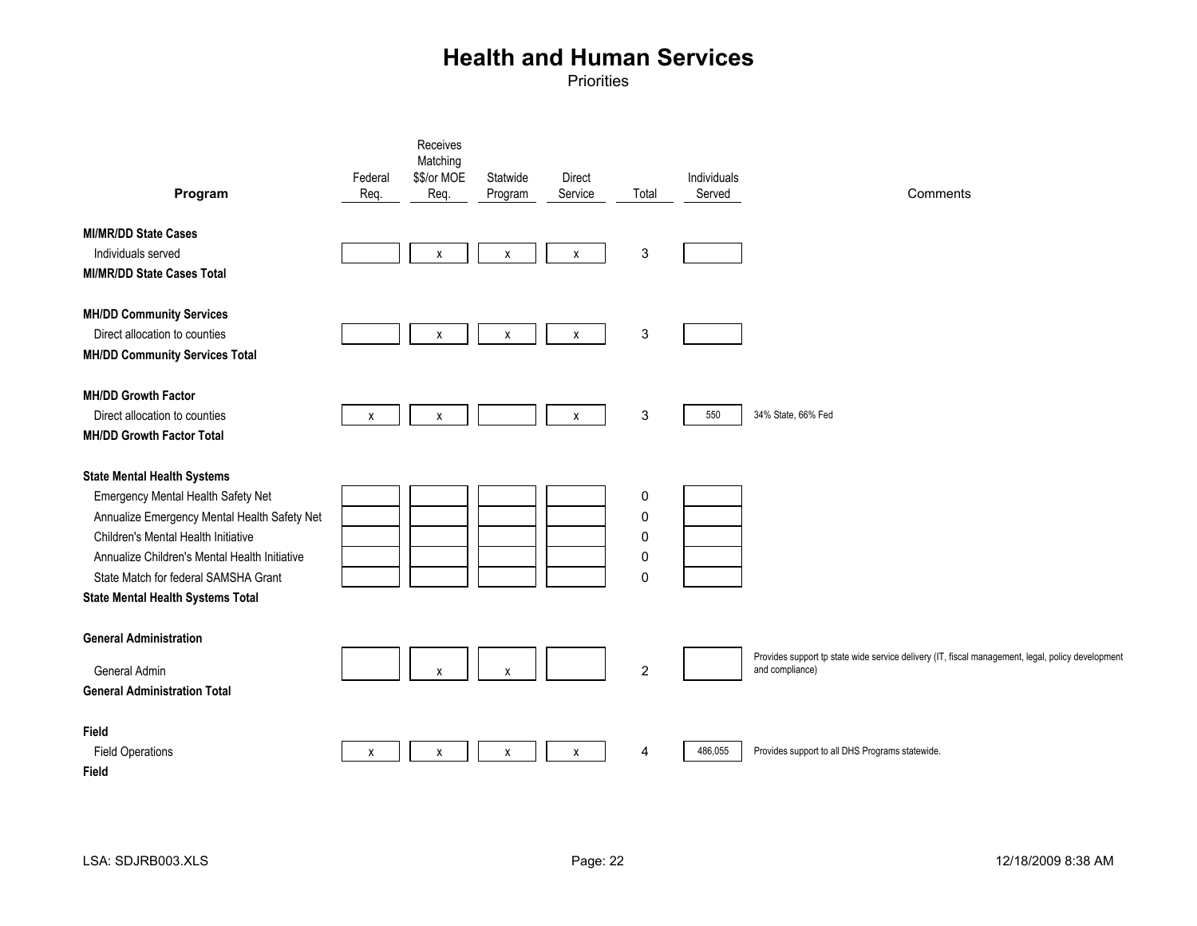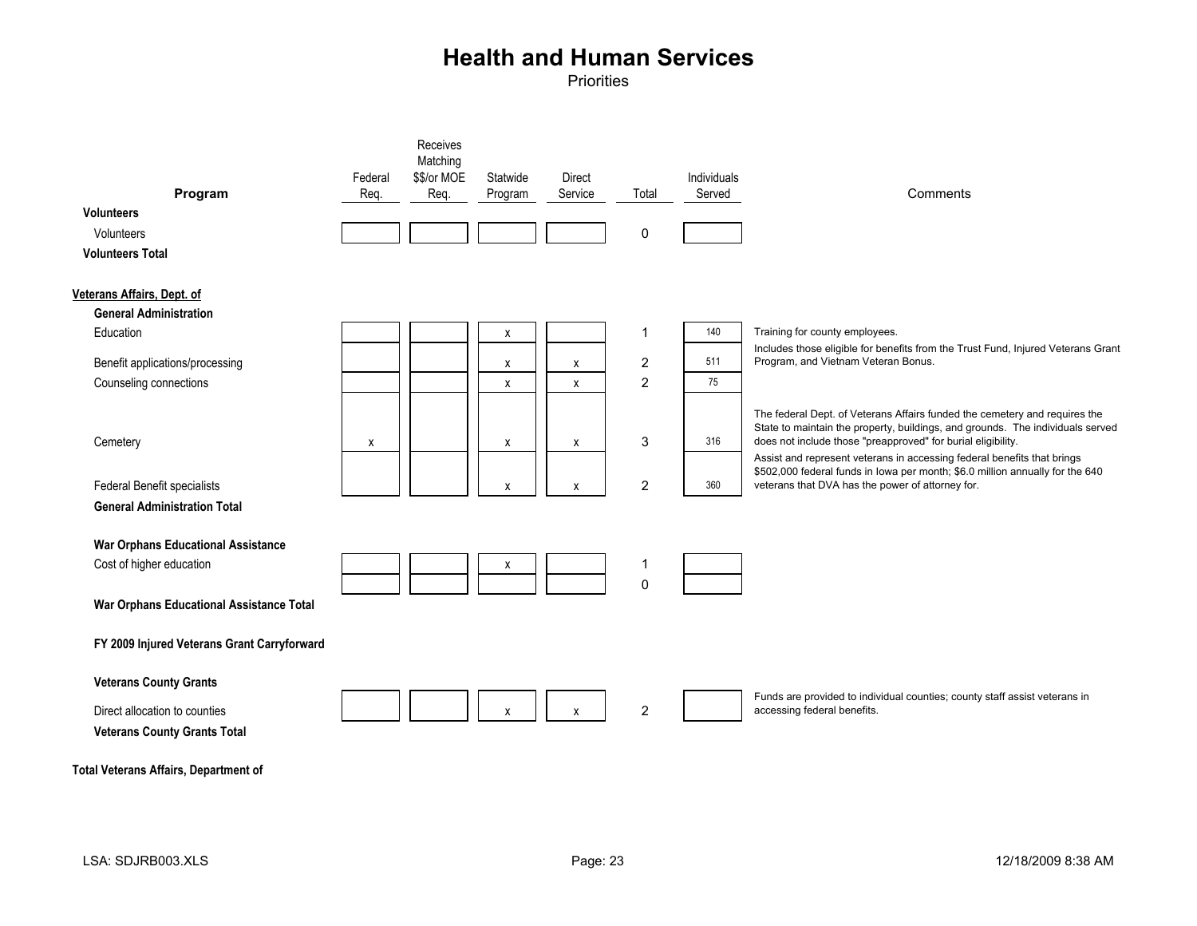